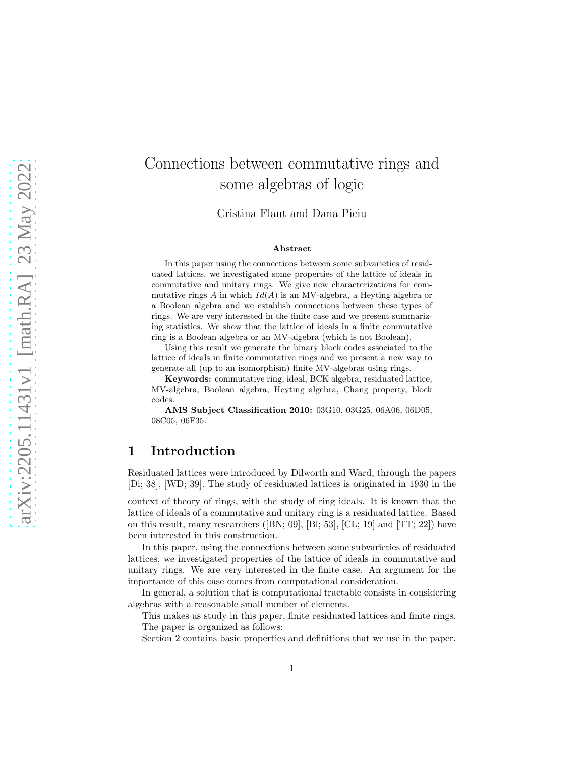# Connections between commutative rings and some algebras of logic

Cristina Flaut and Dana Piciu

#### Abstract

In this paper using the connections between some subvarieties of residuated lattices, we investigated some properties of the lattice of ideals in commutative and unitary rings. We give new characterizations for commutative rings A in which  $Id(A)$  is an MV-algebra, a Heyting algebra or a Boolean algebra and we establish connections between these types of rings. We are very interested in the finite case and we present summarizing statistics. We show that the lattice of ideals in a finite commutative ring is a Boolean algebra or an MV-algebra (which is not Boolean).

Using this result we generate the binary block codes associated to the lattice of ideals in finite commutative rings and we present a new way to generate all (up to an isomorphism) finite MV-algebras using rings.

Keywords: commutative ring, ideal, BCK algebra, residuated lattice, MV-algebra, Boolean algebra, Heyting algebra, Chang property, block codes.

AMS Subject Classification 2010: 03G10, 03G25, 06A06, 06D05, 08C05, 06F35.

## 1 Introduction

Residuated lattices were introduced by Dilworth and Ward, through the papers [Di; 38], [WD; 39]. The study of residuated lattices is originated in 1930 in the

context of theory of rings, with the study of ring ideals. It is known that the lattice of ideals of a commutative and unitary ring is a residuated lattice. Based on this result, many researchers ([BN; 09], [Bl; 53], [CL; 19] and [TT; 22]) have been interested in this construction.

In this paper, using the connections between some subvarieties of residuated lattices, we investigated properties of the lattice of ideals in commutative and unitary rings. We are very interested in the finite case. An argument for the importance of this case comes from computational consideration.

In general, a solution that is computational tractable consists in considering algebras with a reasonable small number of elements.

This makes us study in this paper, finite residuated lattices and finite rings. The paper is organized as follows:

Section 2 contains basic properties and definitions that we use in the paper.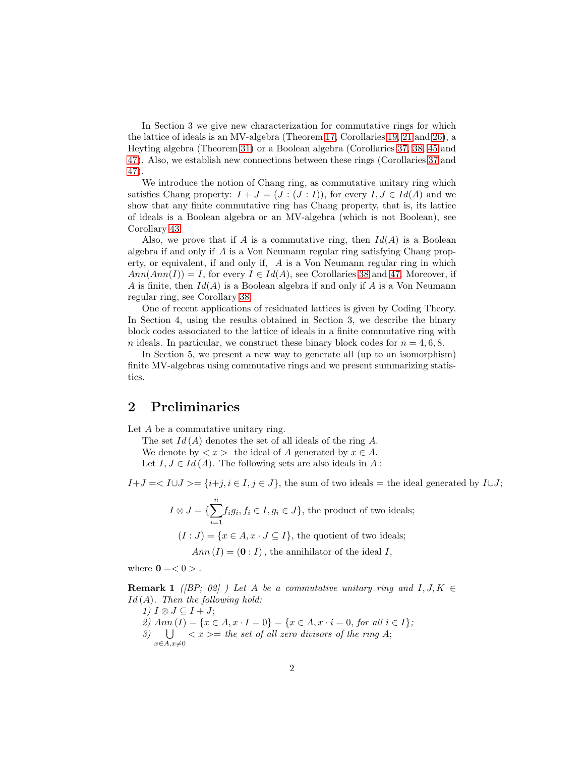In Section 3 we give new characterization for commutative rings for which the lattice of ideals is an MV-algebra (Theorem [17,](#page-6-0) Corollaries [19,](#page-7-0) [21](#page-7-1) and [26\)](#page-9-0), a Heyting algebra (Theorem [31\)](#page-11-0) or a Boolean algebra (Corollaries [37,](#page-13-0) [38,](#page-13-1) [45](#page-17-0) and [47\)](#page-18-0). Also, we establish new connections between these rings (Corollaries [37](#page-13-0) and [47\)](#page-18-0).

We introduce the notion of Chang ring, as commutative unitary ring which satisfies Chang property:  $I + J = (J : (J : I))$ , for every  $I, J \in Id(A)$  and we show that any finite commutative ring has Chang property, that is, its lattice of ideals is a Boolean algebra or an MV-algebra (which is not Boolean), see Corollary [43.](#page-16-0)

Also, we prove that if A is a commutative ring, then  $Id(A)$  is a Boolean algebra if and only if A is a Von Neumann regular ring satisfying Chang property, or equivalent, if and only if, A is a Von Neumann regular ring in which  $Ann(Ann(I)) = I$ , for every  $I \in Id(A)$ , see Corollaries [38](#page-13-1) and [47](#page-18-0). Moreover, if A is finite, then  $Id(A)$  is a Boolean algebra if and only if A is a Von Neumann regular ring, see Corollary [38.](#page-13-1)

One of recent applications of residuated lattices is given by Coding Theory. In Section 4, using the results obtained in Section 3, we describe the binary block codes associated to the lattice of ideals in a finite commutative ring with n ideals. In particular, we construct these binary block codes for  $n = 4, 6, 8$ .

In Section 5, we present a new way to generate all (up to an isomorphism) finite MV-algebras using commutative rings and we present summarizing statistics.

## 2 Preliminaries

Let A be a commutative unitary ring.

The set  $Id(A)$  denotes the set of all ideals of the ring A. We denote by  $\langle x \rangle$  the ideal of A generated by  $x \in A$ . Let  $I, J \in Id(A)$ . The following sets are also ideals in A:

 $I+J = \langle I \cup J \rangle = \{i+j, i \in I, j \in J\}$ , the sum of two ideals = the ideal generated by  $I \cup J$ ;

- $I \otimes J = \{\sum_{i=1}^{n}$  $i=1$  $f_i g_i, f_i \in I, g_i \in J$ , the product of two ideals;
	- $(I : J) = \{x \in A, x \cdot J \subseteq I\}$ , the quotient of two ideals;

 $Ann (I) = (0 : I)$ , the annihilator of the ideal I,

<span id="page-1-0"></span>where  $\mathbf{0} = 0$  >.

**Remark 1** ([BP; 02] ) Let A be a commutative unitary ring and  $I, J, K \in$  $Id(A)$ . Then the following hold:

1)  $I \otimes J \subseteq I + J;$ 2)  $Ann (I) = {x \in A, x \cdot I = 0} = {x \in A, x \cdot i = 0, for all i \in I};$  $\stackrel{\cdot}{\mathcal{S}}$  U  $x\in A, x\neq 0$  $\langle x \rangle =$  the set of all zero divisors of the ring A;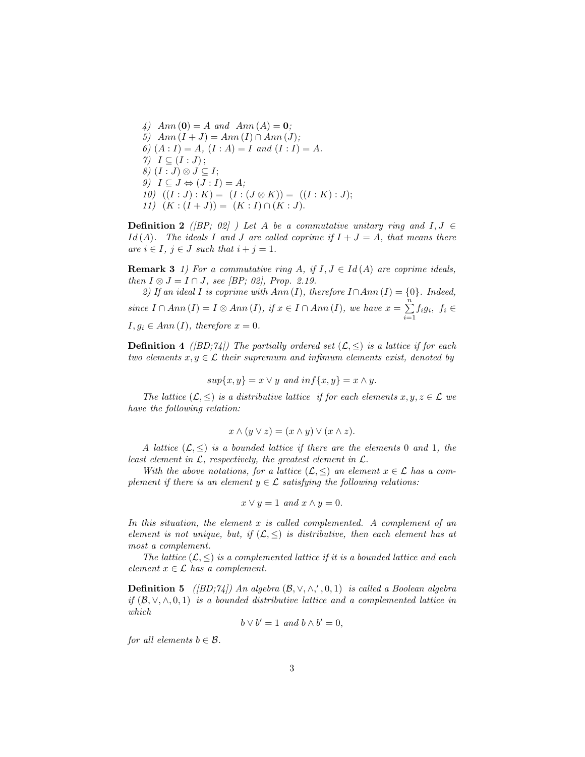4)  $Ann(0) = A$  and  $Ann(A) = 0;$ 5)  $Ann (I + J) = Ann (I) \cap Ann (J);$ 6)  $(A: I) = A$ ,  $(I: A) = I$  and  $(I: I) = A$ .  $7)$   $I \subseteq (I:J);$ 8)  $(I:J)$  ⊗  $J ⊆ I;$ 9)  $I \subseteq J \Leftrightarrow (J : I) = A;$ 10)  $((I:J):K) = (I:(J \otimes K)) = ((I:K):J);$ 11)  $(K:(I+J)) = (K:I) \cap (K:J).$ 

**Definition 2** ([BP; 02] ) Let A be a commutative unitary ring and  $I, J \in$ Id(A). The ideals I and J are called coprime if  $I + J = A$ , that means there are  $i \in I$ ,  $j \in J$  such that  $i + j = 1$ .

<span id="page-2-0"></span>**Remark 3** 1) For a commutative ring A, if  $I, J \in Id(A)$  are coprime ideals, then  $I \otimes J = I \cap J$ , see [BP; 02], Prop. 2.19.

2) If an ideal I is coprime with  $Ann(I)$ , therefore  $I \cap Ann(I) = \{0\}$ . Indeed, since  $I \cap Ann (I) = I \otimes Ann (I), if  $x \in I \cap Ann (I),$  we have  $x = \sum_{i=1}^{n}$$  $\sum_{i=1} f_i g_i, f_i \in$  $I, g_i \in Ann(I),$  therefore  $x = 0$ .

**Definition 4** ([BD;74]) The partially ordered set  $(\mathcal{L}, \leq)$  is a lattice if for each two elements  $x, y \in \mathcal{L}$  their supremum and infimum elements exist, denoted by

$$
sup\{x,y\} = x \vee y \text{ and } inf\{x,y\} = x \wedge y.
$$

The lattice  $(\mathcal{L}, \leq)$  is a distributive lattice if for each elements  $x, y, z \in \mathcal{L}$  we have the following relation:

$$
x \wedge (y \vee z) = (x \wedge y) \vee (x \wedge z).
$$

A lattice  $(\mathcal{L}, \leq)$  is a bounded lattice if there are the elements 0 and 1, the least element in  $\mathcal{L}$ , respectively, the greatest element in  $\mathcal{L}$ .

With the above notations, for a lattice  $(\mathcal{L}, \leq)$  an element  $x \in \mathcal{L}$  has a complement if there is an element  $y \in \mathcal{L}$  satisfying the following relations:

$$
x \lor y = 1 \text{ and } x \land y = 0.
$$

In this situation, the element  $x$  is called complemented. A complement of an element is not unique, but, if  $(\mathcal{L}, \leq)$  is distributive, then each element has at most a complement.

The lattice  $(\mathcal{L}, \leq)$  is a complemented lattice if it is a bounded lattice and each element  $x \in \mathcal{L}$  has a complement.

**Definition 5** ([BD; $74$ ]) An algebra  $(\mathcal{B}, \vee, \wedge, ', 0, 1)$  is called a Boolean algebra if  $(B, \vee, \wedge, 0, 1)$  is a bounded distributive lattice and a complemented lattice in which

$$
b \vee b' = 1 \text{ and } b \wedge b' = 0,
$$

for all elements  $b \in \mathcal{B}$ .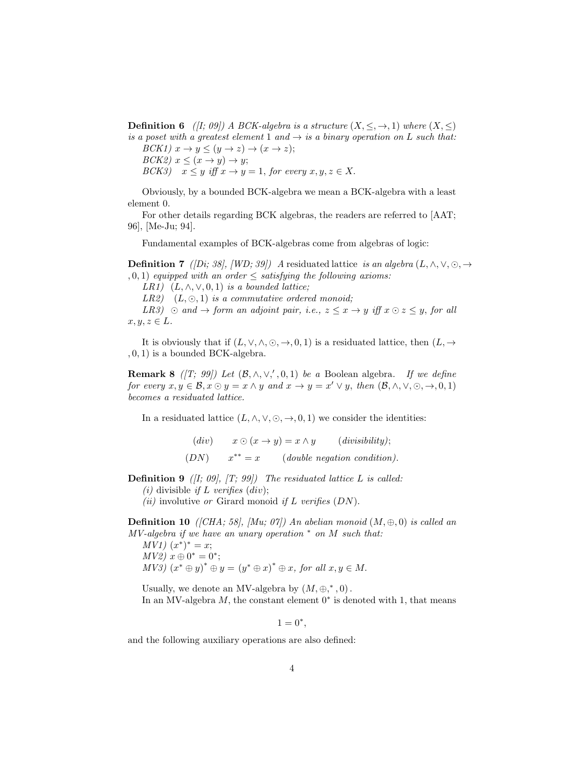**Definition 6** ([I; 09]) A BCK-algebra is a structure  $(X, \leq, \rightarrow, 1)$  where  $(X, \leq)$ is a poset with a greatest element 1 and  $\rightarrow$  is a binary operation on L such that:

 $BCK1$ )  $x \to y \leq (y \to z) \to (x \to z);$  $BCK2$ )  $x \leq (x \rightarrow y) \rightarrow y;$  $BCK3$ )  $x \leq y$  iff  $x \to y = 1$ , for every  $x, y, z \in X$ .

Obviously, by a bounded BCK-algebra we mean a BCK-algebra with a least element 0.

For other details regarding BCK algebras, the readers are referred to [AAT; 96], [Me-Ju; 94].

Fundamental examples of BCK-algebras come from algebras of logic:

**Definition 7** ([Di; 38], [WD; 39]) A residuated lattice is an algebra  $(L, \wedge, \vee, \odot, \rightarrow)$  $(0, 1)$  equipped with an order  $\leq$  satisfying the following axioms:

LR1)  $(L, \wedge, \vee, 0, 1)$  is a bounded lattice;

LR2)  $(L, \odot, 1)$  is a commutative ordered monoid;

LR3)  $\odot$  and  $\rightarrow$  form an adjoint pair, i.e.,  $z \leq x \rightarrow y$  iff  $x \odot z \leq y$ , for all  $x, y, z \in L$ .

<span id="page-3-0"></span>It is obviously that if  $(L, \vee, \wedge, \odot, \rightarrow, 0, 1)$  is a residuated lattice, then  $(L, \rightarrow$ , 0, 1) is a bounded BCK-algebra.

**Remark 8** ([T; 99]) Let  $(\mathcal{B}, \wedge, \vee, ', 0, 1)$  be a Boolean algebra. If we define for every  $x, y \in \mathcal{B}, x \odot y = x \wedge y$  and  $x \rightarrow y = x' \vee y$ , then  $(\mathcal{B}, \wedge, \vee, \odot, \rightarrow, 0, 1)$ becomes a residuated lattice.

In a residuated lattice  $(L, \wedge, \vee, \odot, \rightarrow, 0, 1)$  we consider the identities:

(div)  $x \odot (x \rightarrow y) = x \land y$  (divisibility);  $(DN)$  $x^{**} = x$  (double negation condition).

**Definition 9** ( $[I; 09]$ ,  $[T; 99]$ ) The residuated lattice L is called:

(*i*) divisible *if* L verifies (*div*);

(ii) involutive or Girard monoid if L verifies  $(DN)$ .

**Definition 10** ([CHA; 58], [Mu; 07]) An abelian monoid  $(M, \oplus, 0)$  is called an  $MV-algebra$  if we have an unary operation  $*$  on  $M$  such that:  $MV1)$   $(x^*)^* = x;$ 

 $MV2) x \oplus 0^* = 0^*;$  $MV3)$   $(x^* \oplus y)^* \oplus y = (y^* \oplus x)^* \oplus x$ , for all  $x, y \in M$ .

Usually, we denote an MV-algebra by  $(M, \oplus, ^*, 0)$ . In an MV-algebra  $M$ , the constant element  $0^*$  is denoted with 1, that means

 $1 = 0^*$ ,

and the following auxiliary operations are also defined: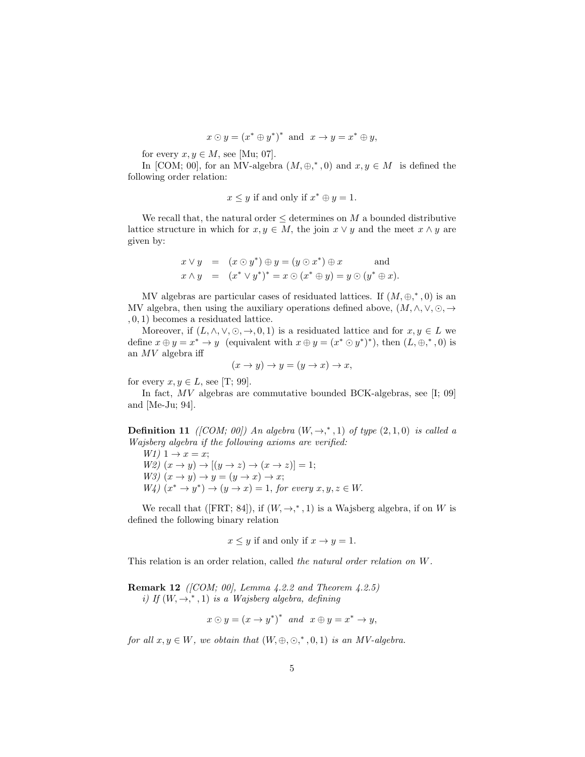$$
x \odot y = (x^* \oplus y^*)^*
$$
 and  $x \rightarrow y = x^* \oplus y$ ,

for every  $x, y \in M$ , see [Mu; 07].

In [COM; 00], for an MV-algebra  $(M, \oplus, ^{*}, 0)$  and  $x, y \in M$  is defined the following order relation:

$$
x \leq y
$$
 if and only if  $x^* \oplus y = 1$ .

We recall that, the natural order  $\leq$  determines on M a bounded distributive lattice structure in which for  $x, y \in M$ , the join  $x \vee y$  and the meet  $x \wedge y$  are given by:

$$
x \lor y = (x \odot y^*) \oplus y = (y \odot x^*) \oplus x \quad \text{and}
$$
  

$$
x \land y = (x^* \lor y^*)^* = x \odot (x^* \oplus y) = y \odot (y^* \oplus x).
$$

MV algebras are particular cases of residuated lattices. If  $(M, \oplus, * , 0)$  is an MV algebra, then using the auxiliary operations defined above,  $(M, \wedge, \vee, \odot, \rightarrow)$ , 0, 1) becomes a residuated lattice.

Moreover, if  $(L, \wedge, \vee, \odot, \rightarrow, 0, 1)$  is a residuated lattice and for  $x, y \in L$  we define  $x \oplus y = x^* \rightarrow y$  (equivalent with  $x \oplus y = (x^* \odot y^*)^*$ ), then  $(L, \oplus,^*, 0)$  is an  $MV$  algebra iff

$$
(x \to y) \to y = (y \to x) \to x,
$$

for every  $x, y \in L$ , see [T; 99].

In fact, MV algebras are commutative bounded BCK-algebras, see [I; 09] and [Me-Ju; 94].

**Definition 11** ([COM; 00]) An algebra  $(W, \rightarrow, *, 1)$  of type  $(2, 1, 0)$  is called a Wajsberg algebra if the following axioms are verified:

W1)  $1 \rightarrow x = x$ ; W2)  $(x \rightarrow y) \rightarrow [(y \rightarrow z) \rightarrow (x \rightarrow z)] = 1;$ W3)  $(x \rightarrow y) \rightarrow y = (y \rightarrow x) \rightarrow x;$  $W_4(x^* \rightarrow y^*) \rightarrow (y \rightarrow x) = 1$ , for every  $x, y, z \in W$ .

We recall that ([FRT; 84]), if  $(W, \rightarrow, * , 1)$  is a Wajsberg algebra, if on W is defined the following binary relation

 $x \leq y$  if and only if  $x \to y = 1$ .

<span id="page-4-0"></span>This relation is an order relation, called the natural order relation on W.

**Remark 12** ([COM; 00], Lemma  $4.2.2$  and Theorem  $4.2.5$ ] i) If  $(W, \rightarrow, * , 1)$  is a Wajsberg algebra, defining

$$
x \odot y = (x \rightarrow y^*)^* \text{ and } x \oplus y = x^* \rightarrow y,
$$

for all  $x, y \in W$ , we obtain that  $(W, \oplus, \odot, ^*, 0, 1)$  is an MV-algebra.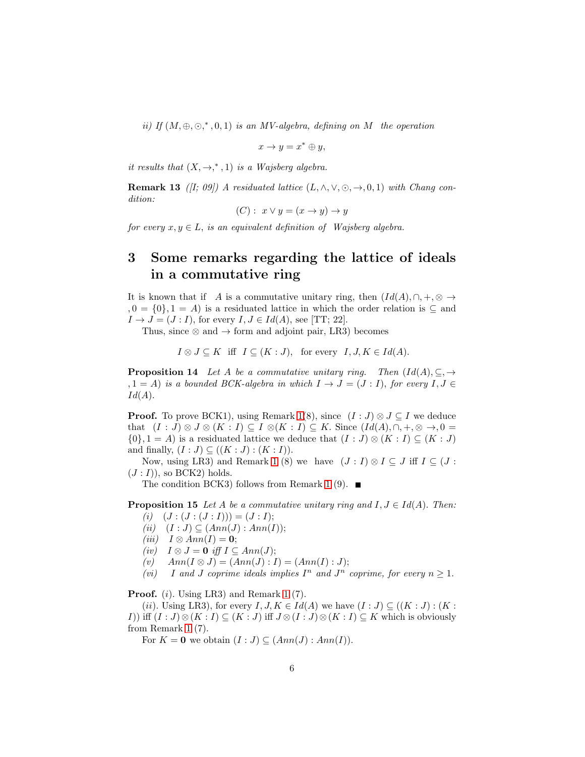ii) If  $(M, \oplus, \odot, * , 0, 1)$  is an MV-algebra, defining on M the operation

$$
x \to y = x^* \oplus y,
$$

<span id="page-5-0"></span>it results that  $(X, \rightarrow, ^*, 1)$  is a Wajsberg algebra.

**Remark 13** ([I; 09]) A residuated lattice  $(L, \wedge, \vee, \odot, \rightarrow, 0, 1)$  with Chang condition:

$$
(C): x \vee y = (x \rightarrow y) \rightarrow y
$$

for every  $x, y \in L$ , is an equivalent definition of Wajsberg algebra.

## 3 Some remarks regarding the lattice of ideals in a commutative ring

It is known that if A is a commutative unitary ring, then  $(Id(A), \cap, +, \otimes \rightarrow$  $, 0 = \{0\}, 1 = A$  is a residuated lattice in which the order relation is  $\subseteq$  and  $I \rightarrow J = (J : I)$ , for every  $I, J \in Id(A)$ , see [TT; 22].

Thus, since  $\otimes$  and  $\rightarrow$  form and adjoint pair, LR3) becomes

 $I \otimes J \subseteq K$  iff  $I \subseteq (K : J)$ , for every  $I, J, K \in Id(A)$ .

<span id="page-5-1"></span>**Proposition 14** Let A be a commutative unitary ring. Then  $(Id(A), \subseteq, \rightarrow)$  $(1, 1, 1)$  is a bounded BCK-algebra in which  $I \rightarrow J = (J : I)$ , for every  $I, J \in I$  $Id(A).$ 

**Proof.** To prove BCK1), using Remark [1\(](#page-1-0)8), since  $(I : J) \otimes J \subseteq I$  we deduce that  $(I : J) \otimes J \otimes (K : I) \subseteq I \otimes (K : I) \subseteq K$ . Since  $(Id(A), \cap, +, \otimes \to, 0 =$  $\{0\}, 1 = A$ ) is a residuated lattice we deduce that  $(I : J) \otimes (K : I) \subseteq (K : J)$ and finally,  $(I : J) \subseteq ((K : J) : (K : I)).$ 

Now, using LR3) and Remark [1](#page-1-0) (8) we have  $(J : I) \otimes I \subseteq J$  iff  $I \subseteq (J : I)$  $(J: I)$ , so BCK2) holds.

The condition BCK3) follows from Remark [1](#page-1-0) (9).  $\blacksquare$ 

**Proposition 15** Let A be a commutative unitary ring and  $I, J \in Id(A)$ . Then:

- $(i)$   $(J : (J : (J : I))) = (J : I);$
- (ii)  $(I : J) \subseteq (Ann(J) : Ann(I));$
- (iii)  $I \otimes Ann(I) = 0;$
- (iv)  $I \otimes J = 0$  iff  $I \subseteq Ann(J);$
- (v)  $Ann(I \otimes J) = (Ann(J) : I) = (Ann(I) : J);$
- (vi) I and J coprime ideals implies  $I^n$  and  $J^n$  coprime, for every  $n \geq 1$ .

Proof. (i). Using LR3) and Remark [1](#page-1-0) (7).

(ii). Using LR3), for every  $I, J, K \in Id(A)$  we have  $(I : J) \subseteq ((K : J) : (K :$ I)) iff  $(I:J)\otimes (K:I)\subseteq (K:J)$  iff  $J\otimes (I:J)\otimes (K:I)\subseteq K$  which is obviously from Remark [1](#page-1-0) (7).

For  $K = 0$  we obtain  $(I : J) \subseteq (Ann(J) : Ann(I)).$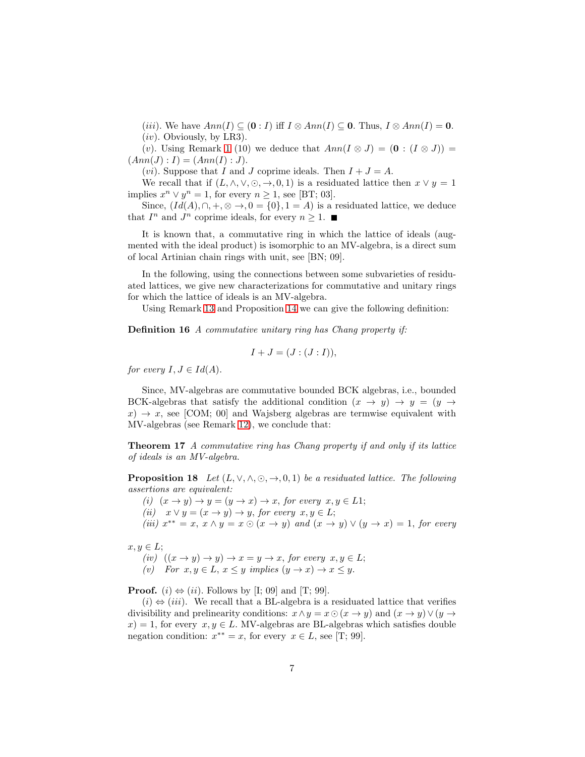(iii). We have  $Ann(I) \subseteq (0 : I)$  iff  $I \otimes Ann(I) \subseteq 0$ . Thus,  $I \otimes Ann(I) = 0$ .

 $(iv)$ . Obviously, by LR3).

(v). Using Remark [1](#page-1-0) (10) we deduce that  $Ann(I \otimes J) = (0 : (I \otimes J))$  $(Ann(J) : I) = (Ann(I) : J).$ 

(*vi*). Suppose that I and J coprime ideals. Then  $I + J = A$ .

We recall that if  $(L, \wedge, \vee, \odot, \rightarrow, 0, 1)$  is a residuated lattice then  $x \vee y = 1$ implies  $x^n \vee y^n = 1$ , for every  $n \ge 1$ , see [BT; 03].

Since,  $(Id(A), \cap, +, \otimes \rightarrow, 0 = \{0\}, 1 = A)$  is a residuated lattice, we deduce that  $I^n$  and  $J^n$  coprime ideals, for every  $n \geq 1$ .

It is known that, a commutative ring in which the lattice of ideals (augmented with the ideal product) is isomorphic to an MV-algebra, is a direct sum of local Artinian chain rings with unit, see [BN; 09].

In the following, using the connections between some subvarieties of residuated lattices, we give new characterizations for commutative and unitary rings for which the lattice of ideals is an MV-algebra.

Using Remark [13](#page-5-0) and Proposition [14](#page-5-1) we can give the following definition:

Definition 16 A commutative unitary ring has Chang property if:

$$
I+J=(J:(J:I)),
$$

for every  $I, J \in Id(A)$ .

Since, MV-algebras are commutative bounded BCK algebras, i.e., bounded BCK-algebras that satisfy the additional condition  $(x \rightarrow y) \rightarrow y = (y \rightarrow$  $x \rightarrow x$ , see [COM; 00] and Wajsberg algebras are termwise equivalent with MV-algebras (see Remark [12\)](#page-4-0), we conclude that:

<span id="page-6-0"></span>Theorem 17 A commutative ring has Chang property if and only if its lattice of ideals is an MV-algebra.

<span id="page-6-1"></span>**Proposition 18** Let  $(L, \vee, \wedge, \odot, \rightarrow, 0, 1)$  be a residuated lattice. The following assertions are equivalent:

(i)  $(x \rightarrow y) \rightarrow y = (y \rightarrow x) \rightarrow x$ , for every  $x, y \in L1$ ;

(ii)  $x \vee y = (x \rightarrow y) \rightarrow y$ , for every  $x, y \in L$ ;

(iii)  $x^{**} = x, x \wedge y = x \odot (x \rightarrow y)$  and  $(x \rightarrow y) \vee (y \rightarrow x) = 1$ , for every

 $x, y \in L$ ;

(iv)  $((x \rightarrow y) \rightarrow y) \rightarrow x = y \rightarrow x$ , for every  $x, y \in L$ ; (v) For  $x, y \in L$ ,  $x \leq y$  implies  $(y \to x) \to x \leq y$ .

**Proof.** (i)  $\Leftrightarrow$  (ii). Follows by [I; 09] and [T; 99].

 $(i) \Leftrightarrow (iii)$ . We recall that a BL-algebra is a residuated lattice that verifies divisibility and prelinearity conditions:  $x \wedge y = x \odot (x \rightarrow y)$  and  $(x \rightarrow y) \vee (y \rightarrow y)$  $x$ ) = 1, for every  $x, y \in L$ . MV-algebras are BL-algebras which satisfies double negation condition:  $x^{**} = x$ , for every  $x \in L$ , see [T; 99].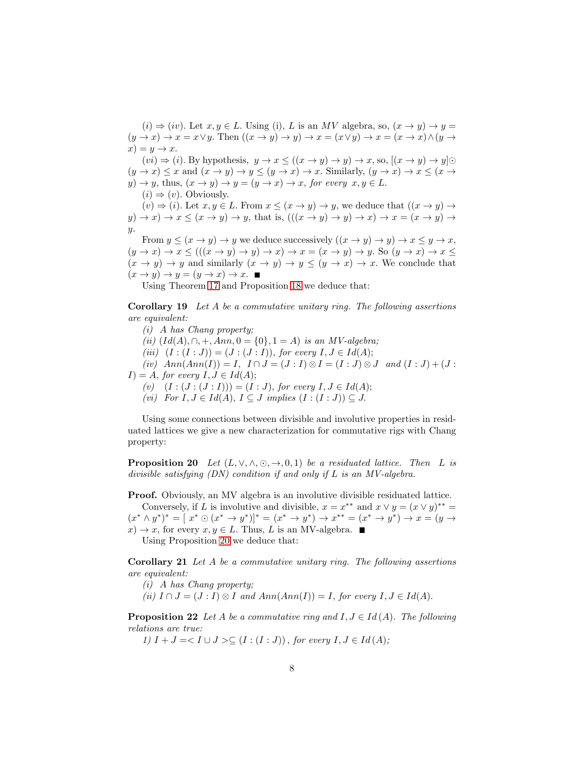$(i) \Rightarrow (iv)$ . Let  $x, y \in L$ . Using (i), L is an MV algebra, so,  $(x \rightarrow y) \rightarrow y =$  $(y \to x) \to x = x \lor y$ . Then  $((x \to y) \to y) \to x = (x \lor y) \to x = (x \to x) \land (y \to x)$  $x) = y \rightarrow x.$ 

 $(vi) \Rightarrow (i)$ . By hypothesis,  $y \rightarrow x \le ((x \rightarrow y) \rightarrow y) \rightarrow x$ , so,  $[(x \rightarrow y) \rightarrow y] \odot$  $(y \to x) \leq x$  and  $(x \to y) \to y \leq (y \to x) \to x$ . Similarly,  $(y \to x) \to x \leq (x \to x)$  $y) \rightarrow y$ , thus,  $(x \rightarrow y) \rightarrow y = (y \rightarrow x) \rightarrow x$ , for every  $x, y \in L$ .  $(i) \Rightarrow (v)$ . Obviously.

 $(v) \Rightarrow (i)$ . Let  $x, y \in L$ . From  $x \leq (x \rightarrow y) \rightarrow y$ , we deduce that  $((x \rightarrow y) \rightarrow$  $y) \rightarrow x$   $\rightarrow x \leq (x \rightarrow y) \rightarrow y$ , that is,  $(((x \rightarrow y) \rightarrow y) \rightarrow x) \rightarrow x = (x \rightarrow y) \rightarrow x$ y.

From  $y \leq (x \to y) \to y$  we deduce successively  $((x \to y) \to y) \to x \leq y \to x$ ,  $(y \to x) \to x \le (((x \to y) \to y) \to x) \to x = (x \to y) \to y$ . So  $(y \to x) \to x \le$  $(x \to y) \to y$  and similarly  $(x \to y) \to y \le (y \to x) \to x$ . We conclude that  $(x \to y) \to y = (y \to x) \to x.$ 

<span id="page-7-0"></span>Using Theorem [17](#page-6-0) and Proposition [18](#page-6-1) we deduce that:

Corollary 19 Let A be a commutative unitary ring. The following assertions are equivalent:

(i) A has Chang property; (ii)  $(Id(A), \cap, +, Ann, 0 = \{0\}, 1 = A)$  is an MV-algebra; (iii)  $(I:(I:J)) = (J:(J:I)),$  for every  $I, J \in Id(A);$ (iv)  $Ann(Ann(I)) = I$ ,  $I \cap J = (J : I) \otimes I = (I : J) \otimes J$  and  $(I : J) + (J :$  $I$ ) = A, for every  $I, J \in Id(A);$ (v)  $(I : (J : (J : I))) = (I : J)$ , for every  $I, J \in Id(A);$ (vi) For  $I, J \in Id(A), I \subseteq J$  implies  $(I : (I : J)) \subseteq J$ .

Using some connections between divisible and involutive properties in residuated lattices we give a new characterization for commutative rigs with Chang property:

<span id="page-7-2"></span>**Proposition 20** Let  $(L, \vee, \wedge, \odot, \rightarrow, 0, 1)$  be a residuated lattice. Then L is divisible satisfying (DN) condition if and only if L is an MV-algebra.

Proof. Obviously, an MV algebra is an involutive divisible residuated lattice. Conversely, if L is involutive and divisible,  $x = x^{**}$  and  $x \vee y = (x \vee y)^{**} =$  $(x^* \wedge y^*)^* = [x^* \odot (x^* \rightarrow y^*)]^* = (x^* \rightarrow y^*) \rightarrow x^{**} = (x^* \rightarrow y^*) \rightarrow x = (y \rightarrow y^*)$  $x) \rightarrow x$ , for every  $x, y \in L$ . Thus, L is an MV-algebra.

<span id="page-7-1"></span>Using Proposition [20](#page-7-2) we deduce that:

Corollary 21 Let A be a commutative unitary ring. The following assertions are equivalent:

- (i) A has Chang property;
- (ii)  $I \cap J = (J : I) \otimes I$  and  $Ann(Ann(I)) = I$ , for every  $I, J \in Id(A)$ .

<span id="page-7-3"></span>**Proposition 22** Let A be a commutative ring and  $I, J \in Id(A)$ . The following relations are true:

1)  $I + J = < I \cup J > \subseteq (I : (I : J))$ , for every  $I, J \in Id(A)$ ;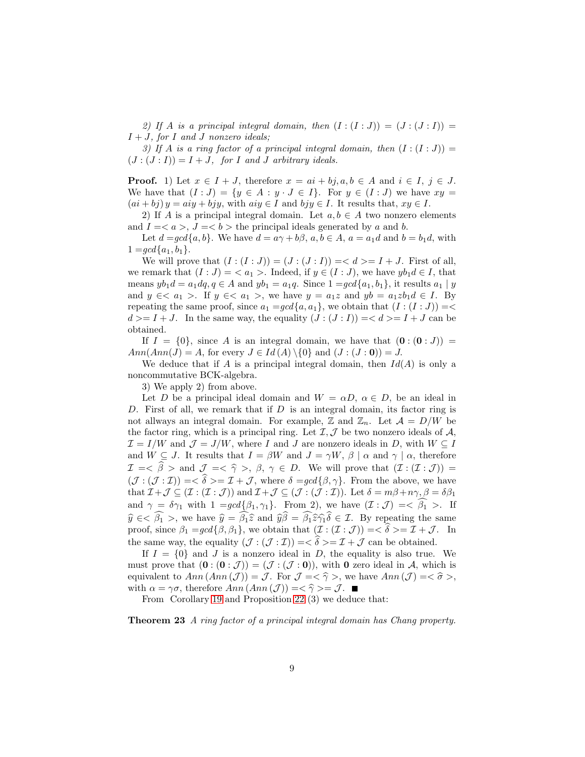2) If A is a principal integral domain, then  $(I:(I:J))=(J:(J:I))$  =  $I + J$ , for I and J nonzero ideals;

3) If A is a ring factor of a principal integral domain, then  $(I:(I:J)) =$  $(J:(J:I)) = I + J$ , for I and J arbitrary ideals.

**Proof.** 1) Let  $x \in I + J$ , therefore  $x = ai + bi$ ,  $a, b \in A$  and  $i \in I$ ,  $j \in J$ . We have that  $(I : J) = \{y \in A : y \cdot J \in I\}$ . For  $y \in (I : J)$  we have  $xy =$  $(ai + bj) y = aiy + bjy$ , with  $aiy \in I$  and  $bjy \in I$ . It results that,  $xy \in I$ .

2) If A is a principal integral domain. Let  $a, b \in A$  two nonzero elements and  $I = \langle a \rangle$ ,  $J = \langle b \rangle$  the principal ideals generated by a and b.

Let  $d = \text{gcd}\{a, b\}$ . We have  $d = a\gamma + b\beta$ ,  $a, b \in A$ ,  $a = a_1d$  and  $b = b_1d$ , with  $1 = \gcd\{a_1, b_1\}.$ 

We will prove that  $(I:(I:J))=(J:(J:I))==I+J$ . First of all, we remark that  $(I : J) = \langle a_1 \rangle$ . Indeed, if  $y \in (I : J)$ , we have  $y b_1 d \in I$ , that means  $yb_1d = a_1dq, q \in A$  and  $yb_1 = a_1q$ . Since  $1 = gcd{a_1, b_1}$ , it results  $a_1 | y$ and  $y \in \langle a_1 \rangle$ . If  $y \in \langle a_1 \rangle$ , we have  $y = a_1z$  and  $yb = a_1zb_1d \in I$ . By repeating the same proof, since  $a_1 = \gcd\{a, a_1\}$ , we obtain that  $(I : (I : J)) = \leq$  $d \geq I + J$ . In the same way, the equality  $(J : (J : I)) = < d > I + J$  can be obtained.

If  $I = \{0\}$ , since A is an integral domain, we have that  $(0:(0:J))$  $Ann(Ann(J) = A,$  for every  $J \in Id(A) \setminus \{0\}$  and  $(J : (J : 0)) = J$ .

We deduce that if A is a principal integral domain, then  $Id(A)$  is only a noncommutative BCK-algebra.

3) We apply 2) from above.

Let D be a principal ideal domain and  $W = \alpha D$ ,  $\alpha \in D$ , be an ideal in D. First of all, we remark that if  $D$  is an integral domain, its factor ring is not allways an integral domain. For example,  $\mathbb Z$  and  $\mathbb Z_n$ . Let  $\mathcal A = D/W$  be the factor ring, which is a principal ring. Let  $\mathcal{I}, \mathcal{J}$  be two nonzero ideals of  $\mathcal{A},$  $\mathcal{I} = I/W$  and  $\mathcal{J} = J/W$ , where I and J are nonzero ideals in D, with  $W \subseteq I$ and  $W \subseteq J$ . It results that  $I = \beta W$  and  $J = \gamma W$ ,  $\beta \mid \alpha$  and  $\gamma \mid \alpha$ , therefore  $\mathcal{I} = \langle \widehat{\beta} \rangle$  and  $\mathcal{J} = \langle \widehat{\gamma} \rangle$ ,  $\beta$ ,  $\gamma \in D$ . We will prove that  $(\mathcal{I} : (\mathcal{I} : \mathcal{J})) =$  $(\mathcal{J}: (\mathcal{J}: \mathcal{I})) = \langle \hat{\delta} \rangle = \mathcal{I} + \mathcal{J}, \text{ where } \delta = \text{gcd}\{\beta, \gamma\}.$  From the above, we have that  $\mathcal{I} + \mathcal{J} \subseteq (\mathcal{I} : (\mathcal{I} : \mathcal{J}))$  and  $\mathcal{I} + \mathcal{J} \subseteq (\mathcal{J} : (\mathcal{J} : \mathcal{I}))$ . Let  $\delta = m\beta + n\gamma, \beta = \delta\beta_1$ and  $\gamma = \delta \gamma_1$  with  $1 = \gcd{\{\beta_1, \gamma_1\}}$ . From 2), we have  $(\mathcal{I} : \mathcal{J}) = \widehat{\beta_1} >$ . If  $\hat{y} \in \widehat{\beta_1}$ , we have  $\hat{y} = \widehat{\beta_1 \hat{z}}$  and  $\hat{y}\hat{\beta} = \widehat{\beta_1 \hat{z}}\hat{\gamma_1}\hat{\delta} \in \mathcal{I}$ . By repeating the same proof, since  $\beta_1 = \text{gcd}\{\beta, \beta_1\}$ , we obtain that  $(\mathcal{I} : (\mathcal{I} : \mathcal{J})) = \hat{\delta} = \mathcal{I} + \mathcal{J}$ . In the same way, the equality  $(\mathcal{J} : (\mathcal{J} : \mathcal{I})) = \langle \delta \rangle = \mathcal{I} + \mathcal{J}$  can be obtained.

If  $I = \{0\}$  and J is a nonzero ideal in D, the equality is also true. We must prove that  $(\mathbf{0} : (\mathbf{0} : \mathcal{J})) = (\mathcal{J} : (\mathcal{J} : \mathbf{0}))$ , with  $\mathbf{0}$  zero ideal in A, which is equivalent to  $Ann(Ann(\mathcal{J})) = \mathcal{J}$ . For  $\mathcal{J} = \langle \hat{\gamma} \rangle$ , we have  $Ann(\mathcal{J}) = \langle \hat{\sigma} \rangle$ , with  $\alpha = \gamma \sigma$ , therefore  $Ann(\text{Ann}(\mathcal{J})) = \langle \hat{\gamma} \rangle = \mathcal{J}$ .

<span id="page-8-0"></span>From Corollary [19](#page-7-0) and Proposition [22](#page-7-3) (3) we deduce that:

<span id="page-8-1"></span>Theorem 23 A ring factor of a principal integral domain has Chang property.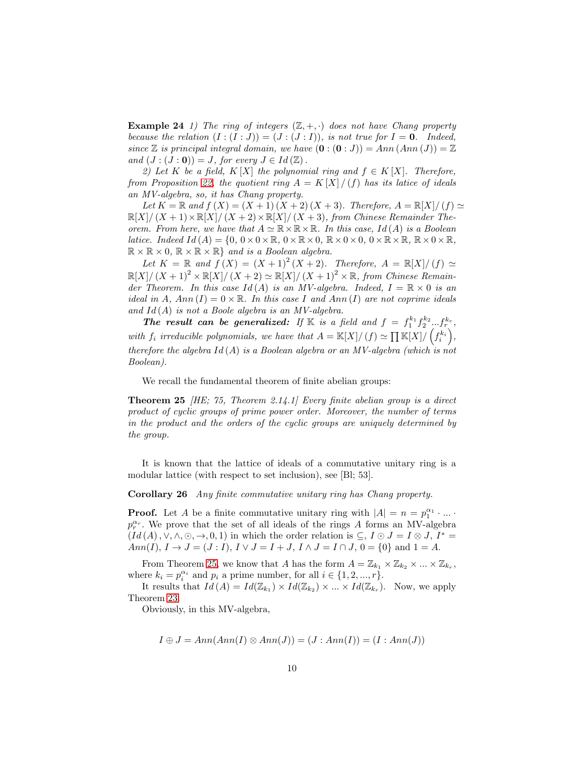**Example 24** 1) The ring of integers  $(\mathbb{Z}, +, \cdot)$  does not have Chang property because the relation  $(I:(I:J))=(J:(J:I)),$  is not true for  $I=0$ . Indeed, since  $\mathbb Z$  is principal integral domain, we have  $(\mathbf 0: (\mathbf 0:J)) = Ann(Ann(J)) = \mathbb Z$ and  $(J:(J:0))=J$ , for every  $J\in Id(\mathbb{Z})$ .

2) Let K be a field, K [X] the polynomial ring and  $f \in K[X]$ . Therefore, from Proposition [22,](#page-7-3) the quotient ring  $A = K[X]/(f)$  has its latice of ideals an MV-algebra, so, it has Chang property.

Let  $K = \mathbb{R}$  and  $f(X) = (X + 1)(X + 2)(X + 3)$ . Therefore,  $A = \mathbb{R}[X]/(f) \simeq$  $\mathbb{R}[X]/(X+1) \times \mathbb{R}[X]/(X+2) \times \mathbb{R}[X]/(X+3)$ , from Chinese Remainder Theorem. From here, we have that  $A \simeq \mathbb{R} \times \mathbb{R} \times \mathbb{R}$ . In this case, Id(A) is a Boolean latice. Indeed  $Id(A) = \{0, 0 \times 0 \times \mathbb{R}, 0 \times \mathbb{R} \times 0, \mathbb{R} \times 0 \times 0, 0 \times \mathbb{R} \times \mathbb{R}, \mathbb{R} \times 0 \times \mathbb{R},$  $\mathbb{R} \times \mathbb{R} \times 0$ ,  $\mathbb{R} \times \mathbb{R} \times \mathbb{R}$  and is a Boolean algebra.

Let  $K = \mathbb{R}$  and  $f(X) = (X + 1)^2 (X + 2)$ . Therefore,  $A = \mathbb{R}[X]/(f) \simeq$  $\mathbb{R}[X]/(X+1)^2 \times \mathbb{R}[X]/(X+2) \simeq \mathbb{R}[X]/(X+1)^2 \times \mathbb{R}$ , from Chinese Remainder Theorem. In this case  $Id(A)$  is an MV-algebra. Indeed,  $I = \mathbb{R} \times 0$  is an ideal in A,  $Ann(I) = 0 \times \mathbb{R}$ . In this case I and  $Ann(I)$  are not coprime ideals and  $Id(A)$  is not a Boole algebra is an MV-algebra.

The result can be generalized: If K is a field and  $f = f_1^{k_1} f_2^{k_2} \dots f_r^{k_r}$ , with  $f_i$  irreducible polynomials, we have that  $A = \mathbb{K}[X]/(f) \simeq \prod_{i=1}^{\infty} \mathbb{K}[X]/(f_i^{k_i})$  $\big)$ , therefore the algebra  $Id(A)$  is a Boolean algebra or an MV-algebra (which is not Boolean).

<span id="page-9-1"></span>We recall the fundamental theorem of finite abelian groups:

**Theorem 25** *HE*; 75, Theorem 2.14.1 Every finite abelian group is a direct product of cyclic groups of prime power order. Moreover, the number of terms in the product and the orders of the cyclic groups are uniquely determined by the group.

<span id="page-9-0"></span>It is known that the lattice of ideals of a commutative unitary ring is a modular lattice (with respect to set inclusion), see [Bl; 53].

Corollary 26 Any finite commutative unitary ring has Chang property.

**Proof.** Let A be a finite commutative unitary ring with  $|A| = n = p_1^{\alpha_1} \cdot ... \cdot$  $p_r^{\alpha_r}$ . We prove that the set of all ideals of the rings A forms an MV-algebra  $(Id(A), \vee, \wedge, \odot, \rightarrow, 0, 1)$  in which the order relation is  $\subseteq, I \odot J = I \otimes J$ ,  $I^* =$  $Ann(I), I \to J = (J : I), I \vee J = I + J, I \wedge J = I \cap J, 0 = \{0\}$  and  $1 = A$ .

From Theorem [25,](#page-9-1) we know that A has the form  $A = \mathbb{Z}_{k_1} \times \mathbb{Z}_{k_2} \times ... \times \mathbb{Z}_{k_r}$ , where  $k_i = p_i^{\alpha_i}$  and  $p_i$  a prime number, for all  $i \in \{1, 2, ..., r\}$ .

It results that  $Id(A) = Id(\mathbb{Z}_{k_1}) \times Id(\mathbb{Z}_{k_2}) \times ... \times Id(\mathbb{Z}_{k_r})$ . Now, we apply Theorem [23.](#page-8-0)

Obviously, in this MV-algebra,

$$
I \oplus J = Ann(Ann(I) \otimes Ann(J)) = (J : Ann(I)) = (I : Ann(J))
$$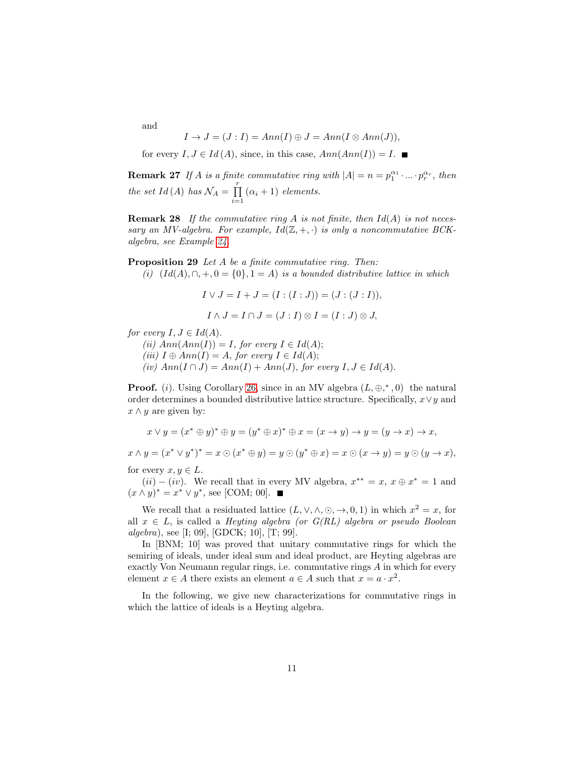and

$$
I \to J = (J : I) = Ann(I) \oplus J = Ann(I \otimes Ann(J)),
$$

<span id="page-10-2"></span>for every  $I, J \in Id(A)$ , since, in this case,  $Ann(Ann(I)) = I$ .

**Remark 27** If A is a finite commutative ring with  $|A| = n = p_1^{\alpha_1} \cdot ... \cdot p_r^{\alpha_r}$ , then the set Id(A) has  $\mathcal{N}_A = \prod^r$  $\prod_{i=1}$   $(\alpha_i + 1)$  elements.

**Remark 28** If the commutative ring A is not finite, then  $Id(A)$  is not necessary an MV-algebra. For example,  $Id(\mathbb{Z}, +, \cdot)$  is only a noncommutative BCKalgebra, see Example [24.](#page-8-1)

<span id="page-10-1"></span>Proposition 29 Let A be a finite commutative ring. Then:

(i)  $(Id(A), \cap, +, 0 = \{0\}, 1 = A)$  is a bounded distributive lattice in which

$$
I \vee J = I + J = (I : (I : J)) = (J : (J : I)),
$$

$$
I \wedge J = I \cap J = (J : I) \otimes I = (I : J) \otimes J,
$$

for every  $I, J \in Id(A)$ .

(ii)  $Ann(Ann(I)) = I$ , for every  $I \in Id(A);$ 

- (iii)  $I \oplus Ann(I) = A$ , for every  $I \in Id(A);$
- (iv)  $Ann(I \cap J) = Ann(I) + Ann(J)$ , for every  $I, J \in Id(A)$ .

**Proof.** (i). Using Corollary [26,](#page-9-0) since in an MV algebra  $(L, \oplus, ^*, 0)$  the natural order determines a bounded distributive lattice structure. Specifically,  $x \vee y$  and  $x \wedge y$  are given by:

$$
x \vee y = (x^* \oplus y)^* \oplus y = (y^* \oplus x)^* \oplus x = (x \to y) \to y = (y \to x) \to x,
$$

 $x \wedge y = (x^* \vee y^*)^* = x \odot (x^* \oplus y) = y \odot (y^* \oplus x) = x \odot (x \rightarrow y) = y \odot (y \rightarrow x),$ 

for every  $x, y \in L$ .

 $(ii) - (iv)$ . We recall that in every MV algebra,  $x^{**} = x$ ,  $x \oplus x^* = 1$  and  $(x \wedge y)^* = x^* \vee y^*$ , see [COM; 00].

We recall that a residuated lattice  $(L, \vee, \wedge, \odot, \rightarrow, 0, 1)$  in which  $x^2 = x$ , for all  $x \in L$ , is called a *Heyting algebra (or G(RL) algebra or pseudo Boolean*  $algebra$ , see [I; 09], [GDCK; 10], [T; 99].

In [BNM; 10] was proved that unitary commutative rings for which the semiring of ideals, under ideal sum and ideal product, are Heyting algebras are exactly Von Neumann regular rings, i.e. commutative rings A in which for every element  $x \in A$  there exists an element  $a \in A$  such that  $x = a \cdot x^2$ .

<span id="page-10-0"></span>In the following, we give new characterizations for commutative rings in which the lattice of ideals is a Heyting algebra.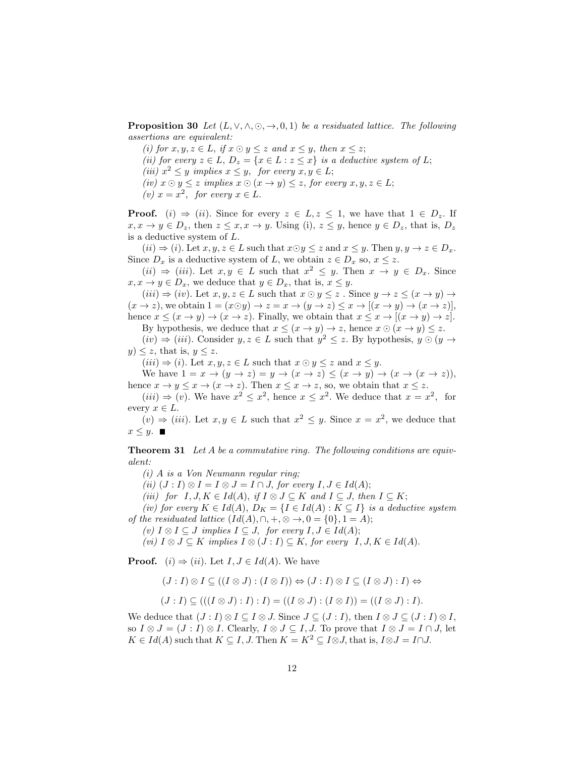**Proposition 30** Let  $(L, \vee, \wedge, \odot, \rightarrow, 0, 1)$  be a residuated lattice. The following assertions are equivalent:

- (i) for  $x, y, z \in L$ , if  $x \odot y \leq z$  and  $x \leq y$ , then  $x \leq z$ ;
- (ii) for every  $z \in L$ ,  $D_z = \{x \in L : z \leq x\}$  is a deductive system of L;
- (iii)  $x^2 \leq y$  implies  $x \leq y$ , for every  $x, y \in L$ ;
- (iv)  $x \odot y \leq z$  implies  $x \odot (x \rightarrow y) \leq z$ , for every  $x, y, z \in L$ ;
- (v)  $x = x^2$ , for every  $x \in L$ .

**Proof.** (i)  $\Rightarrow$  (ii). Since for every  $z \in L, z \leq 1$ , we have that  $1 \in D_z$ . If  $x, x \to y \in D_z$ , then  $z \leq x, x \to y$ . Using (i),  $z \leq y$ , hence  $y \in D_z$ , that is,  $D_z$ is a deductive system of L.

 $(ii) \Rightarrow (i)$ . Let  $x, y, z \in L$  such that  $x \odot y \leq z$  and  $x \leq y$ . Then  $y, y \rightarrow z \in D_x$ . Since  $D_x$  is a deductive system of L, we obtain  $z \in D_x$  so,  $x \leq z$ .

 $(ii) \Rightarrow (iii)$ . Let  $x, y \in L$  such that  $x^2 \leq y$ . Then  $x \to y \in D_x$ . Since  $x, x \to y \in D_x$ , we deduce that  $y \in D_x$ , that is,  $x \leq y$ .

 $(iii) \Rightarrow (iv)$ . Let  $x, y, z \in L$  such that  $x \odot y \leq z$ . Since  $y \rightarrow z \leq (x \rightarrow y) \rightarrow$  $(x \to z)$ , we obtain  $1 = (x \odot y) \to z = x \to (y \to z) \leq x \to [(x \to y) \to (x \to z)]$ , hence  $x \leq (x \to y) \to (x \to z)$ . Finally, we obtain that  $x \leq x \to [(x \to y) \to z]$ .

By hypothesis, we deduce that  $x \leq (x \to y) \to z$ , hence  $x \odot (x \to y) \leq z$ .  $(iv) \Rightarrow (iii)$ . Consider  $y, z \in L$  such that  $y^2 \leq z$ . By hypothesis,  $y \odot (y \rightarrow$  $y) \leq z$ , that is,  $y \leq z$ .

 $(iii) \Rightarrow (i)$ . Let  $x, y, z \in L$  such that  $x \odot y \leq z$  and  $x \leq y$ .

We have  $1 = x \rightarrow (y \rightarrow z) = y \rightarrow (x \rightarrow z) \leq (x \rightarrow y) \rightarrow (x \rightarrow (x \rightarrow z))$ , hence  $x \to y \leq x \to (x \to z)$ . Then  $x \leq x \to z$ , so, we obtain that  $x \leq z$ .

 $(iii) \Rightarrow (v)$ . We have  $x^2 \leq x^2$ , hence  $x \leq x^2$ . We deduce that  $x = x^2$ , for every  $x \in L$ .

<span id="page-11-0"></span> $(v) \Rightarrow (iii)$ . Let  $x, y \in L$  such that  $x^2 \leq y$ . Since  $x = x^2$ , we deduce that  $x \leq y$ .

**Theorem 31** Let A be a commutative ring. The following conditions are equivalent:

(i) A is a Von Neumann regular ring;

(ii)  $(J: I) \otimes I = I \otimes J = I \cap J$ , for every  $I, J \in Id(A)$ ;

(iii) for  $I, J, K \in Id(A)$ , if  $I \otimes J \subseteq K$  and  $I \subseteq J$ , then  $I \subseteq K$ ;

(iv) for every  $K \in Id(A), D_K = \{I \in Id(A) : K \subseteq I\}$  is a deductive system of the residuated lattice  $(Id(A), \cap, +, \otimes \rightarrow, 0 = \{0\}, 1 = A);$ 

(v)  $I \otimes I \subseteq J$  implies  $I \subseteq J$ , for every  $I, J \in Id(A);$ 

(vi)  $I \otimes J \subseteq K$  implies  $I \otimes (J : I) \subseteq K$ , for every  $I, J, K \in Id(A)$ .

**Proof.** (i)  $\Rightarrow$  (ii). Let  $I, J \in Id(A)$ . We have

$$
(J: I) \otimes I \subseteq ((I \otimes J) : (I \otimes I)) \Leftrightarrow (J: I) \otimes I \subseteq (I \otimes J) : I) \Leftrightarrow
$$

$$
(J:I) \subseteq (((I \otimes J):I):I) = ((I \otimes J):(I \otimes I)) = ((I \otimes J):I).
$$

We deduce that  $(J : I) \otimes I \subseteq I \otimes J$ . Since  $J \subseteq (J : I)$ , then  $I \otimes J \subseteq (J : I) \otimes I$ , so  $I \otimes J = (J : I) \otimes I$ . Clearly,  $I \otimes J \subseteq I$ , J. To prove that  $I \otimes J = I \cap J$ , let  $K \in Id(A)$  such that  $K \subseteq I, J$ . Then  $K = K^2 \subseteq I \otimes J$ , that is,  $I \otimes J = I \cap J$ .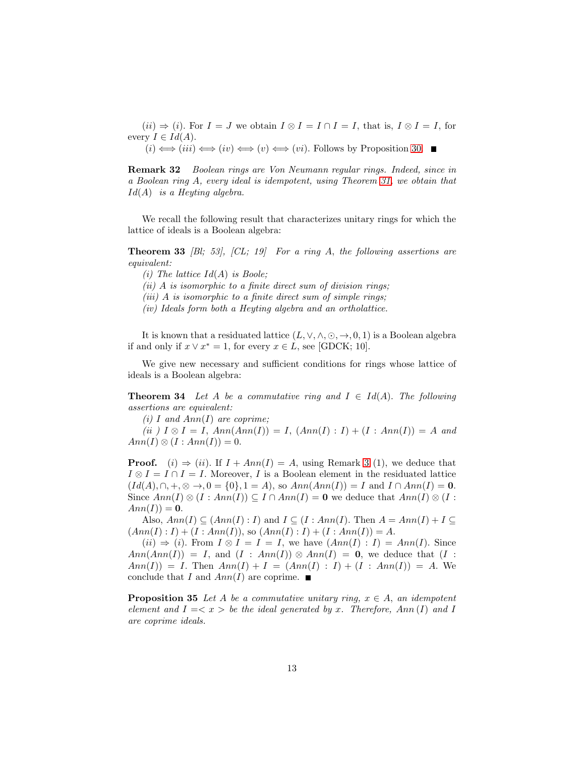$(ii) \Rightarrow (i)$ . For  $I = J$  we obtain  $I \otimes I = I \cap I = I$ , that is,  $I \otimes I = I$ , for every  $I \in Id(A)$ .

<span id="page-12-1"></span> $(i) \iff (iii) \iff (iv) \iff (v) \iff (vi)$ . Follows by Proposition [30.](#page-10-0)

Remark 32 Boolean rings are Von Neumann regular rings. Indeed, since in a Boolean ring A, every ideal is idempotent, using Theorem [31,](#page-11-0) we obtain that  $Id(A)$  is a Heyting algebra.

We recall the following result that characterizes unitary rings for which the lattice of ideals is a Boolean algebra:

**Theorem 33** [Bl; 53],  $[CL; 19]$  For a ring A, the following assertions are equivalent:

(i) The lattice  $Id(A)$  is Boole;

 $(ii)$  A is isomorphic to a finite direct sum of division rings;

(iii) A is isomorphic to a finite direct sum of simple rings;

(iv) Ideals form both a Heyting algebra and an ortholattice.

It is known that a residuated lattice  $(L, \vee, \wedge, \odot, \rightarrow, 0, 1)$  is a Boolean algebra if and only if  $x \vee x^* = 1$ , for every  $x \in L$ , see [GDCK; 10].

<span id="page-12-0"></span>We give new necessary and sufficient conditions for rings whose lattice of ideals is a Boolean algebra:

**Theorem 34** Let A be a commutative ring and  $I \in Id(A)$ . The following assertions are equivalent:

(i) I and  $Ann(I)$  are coprime;

(ii)  $I \otimes I = I$ ,  $Ann(Ann(I)) = I$ ,  $(Ann(I) : I) + (I : Ann(I)) = A$  and  $Ann(I) \otimes (I : Ann(I)) = 0.$ 

**Proof.** (i)  $\Rightarrow$  (ii). If  $I + Ann(I) = A$ , using Remark [3](#page-2-0) (1), we deduce that  $I \otimes I = I \cap I = I$ . Moreover, I is a Boolean element in the residuated lattice  $(Id(A), \cap, +, \otimes \to, 0 = \{0\}, 1 = A)$ , so  $Ann(Ann(I)) = I$  and  $I \cap Ann(I) = 0$ . Since  $Ann(I) \otimes (I : Ann(I)) \subseteq I \cap Ann(I) = 0$  we deduce that  $Ann(I) \otimes (I : Ann(I))$  $Ann(I)) = 0.$ 

Also,  $Ann(I) \subseteq (Ann(I) : I)$  and  $I \subseteq (I : Ann(I)$ . Then  $A = Ann(I) + I \subseteq I$  $(Ann(I): I) + (I: Ann(I)),$  so  $(Ann(I): I) + (I: Ann(I)) = A.$ 

 $(ii) \Rightarrow (i)$ . From  $I \otimes I = I = I$ , we have  $(Ann(I) : I) = Ann(I)$ . Since  $Ann(Ann(I)) = I$ , and  $(I : Ann(I)) \otimes Ann(I) = 0$ , we deduce that  $(I :$  $Ann(I)) = I.$  Then  $Ann(I) + I = (Ann(I) : I) + (I : Ann(I)) = A.$  We conclude that I and  $Ann(I)$  are coprime.

**Proposition 35** Let A be a commutative unitary ring,  $x \in A$ , an idempotent element and  $I = \langle x \rangle$  be the ideal generated by x. Therefore, Ann (I) and I are coprime ideals.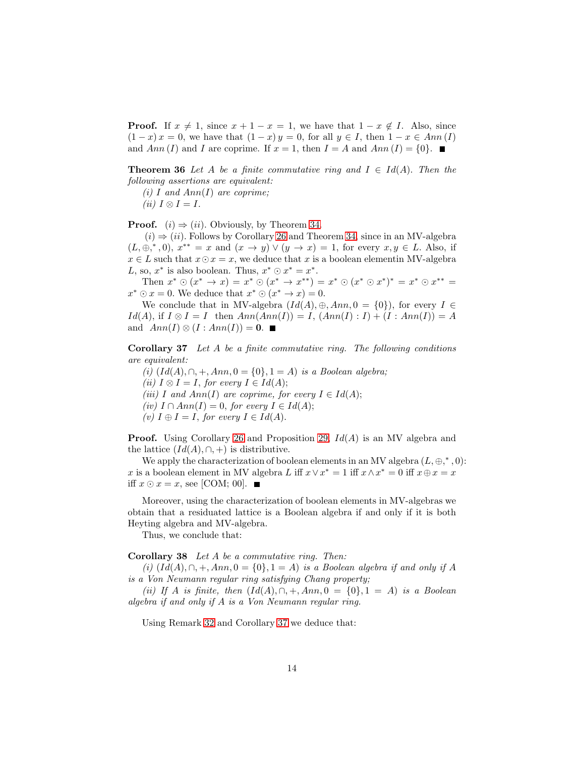**Proof.** If  $x \neq 1$ , since  $x + 1 - x = 1$ , we have that  $1 - x \notin I$ . Also, since  $(1-x)x = 0$ , we have that  $(1-x)y = 0$ , for all  $y \in I$ , then  $1-x \in Ann(I)$ and Ann (I) and I are coprime. If  $x = 1$ , then  $I = A$  and  $Ann (I) = \{0\}$ .

**Theorem 36** Let A be a finite commutative ring and  $I \in Id(A)$ . Then the following assertions are equivalent:

(i) I and  $Ann(I)$  are coprime;

 $(ii) I \otimes I = I.$ 

**Proof.** (i)  $\Rightarrow$  (ii). Obviously, by Theorem [34.](#page-12-0)

 $(i) \Rightarrow (ii)$ . Follows by Corollary [26](#page-9-0) and Theorem [34,](#page-12-0) since in an MV-algebra  $(L, \oplus, ^*, 0)$ ,  $x^{**} = x$  and  $(x \to y) \vee (y \to x) = 1$ , for every  $x, y \in L$ . Also, if  $x \in L$  such that  $x \odot x = x$ , we deduce that x is a boolean elementin MV-algebra L, so,  $x^*$  is also boolean. Thus,  $x^* \odot x^* = x^*$ .

Then  $x^* \odot (x^* \rightarrow x) = x^* \odot (x^* \rightarrow x^{**}) = x^* \odot (x^* \odot x^*)^* = x^* \odot x^{**} =$  $x^* \odot x = 0$ . We deduce that  $x^* \odot (x^* \rightarrow x) = 0$ .

We conclude that in MV-algebra  $(Id(A), \oplus, Ann, 0 = \{0\})$ , for every  $I \in$  $Id(A)$ , if  $I \otimes I = I$  then  $Ann(Ann(I)) = I$ ,  $(Ann(I) : I) + (I : Ann(I)) = A$ and  $Ann(I) \otimes (I : Ann(I)) = 0$ .

<span id="page-13-0"></span>Corollary 37 Let A be a finite commutative ring. The following conditions are equivalent:

(i)  $Id(A), \cap, +, Ann, 0 = \{0\}, 1 = A)$  is a Boolean algebra; (ii)  $I \otimes I = I$ , for every  $I \in Id(A)$ ; (iii) I and  $Ann(I)$  are coprime, for every  $I \in Id(A);$ (iv)  $I \cap Ann(I) = 0$ , for every  $I \in Id(A);$ (v)  $I \oplus I = I$ , for every  $I \in Id(A)$ .

**Proof.** Using Corollary [26](#page-9-0) and Proposition [29,](#page-10-1)  $Id(A)$  is an MV algebra and the lattice  $(Id(A), \cap, +)$  is distributive.

We apply the characterization of boolean elements in an MV algebra  $(L, \oplus, ^*, 0)$ : x is a boolean element in MV algebra L iff  $x \vee x^* = 1$  iff  $x \wedge x^* = 0$  iff  $x \oplus x = x$ iff  $x \odot x = x$ , see [COM; 00]. ■

Moreover, using the characterization of boolean elements in MV-algebras we obtain that a residuated lattice is a Boolean algebra if and only if it is both Heyting algebra and MV-algebra.

<span id="page-13-1"></span>Thus, we conclude that:

Corollary 38 Let A be a commutative ring. Then:

(i)  $(Id(A), \cap, +, Ann, 0 = \{0\}, 1 = A)$  is a Boolean algebra if and only if A is a Von Neumann regular ring satisfying Chang property;

(ii) If A is finite, then  $Id(A), \cap, +, Ann, 0 = \{0\}, 1 = A)$  is a Boolean algebra if and only if A is a Von Neumann regular ring.

Using Remark [32](#page-12-1) and Corollary [37](#page-13-0) we deduce that: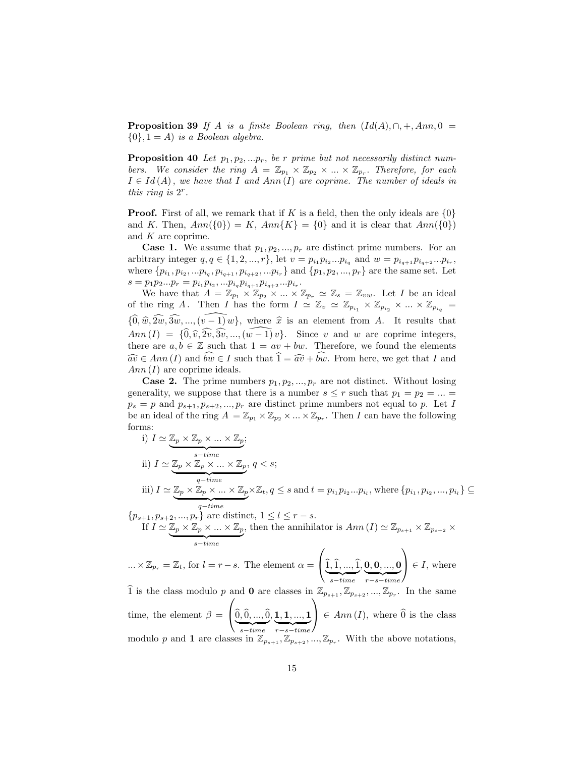**Proposition 39** If A is a finite Boolean ring, then  $(Id(A), \cap, +, Ann, 0 =$  ${0}, 1 = A$  is a Boolean algebra.

<span id="page-14-0"></span>**Proposition 40** Let  $p_1, p_2, \ldots, p_r$ , be r prime but not necessarily distinct numbers. We consider the ring  $A = \mathbb{Z}_{p_1} \times \mathbb{Z}_{p_2} \times ... \times \mathbb{Z}_{p_r}$ . Therefore, for each  $I \in Id(A)$ , we have that I and Ann (I) are coprime. The number of ideals in this ring is  $2^r$ .

**Proof.** First of all, we remark that if K is a field, then the only ideals are  $\{0\}$ and K. Then,  $Ann({0}) = K$ ,  $Ann{K} = {0}$  and it is clear that  $Ann({0})$ and  $K$  are coprime.

**Case 1.** We assume that  $p_1, p_2, ..., p_r$  are distinct prime numbers. For an arbitrary integer  $q, q \in \{1, 2, ..., r\}$ , let  $v = p_{i_1} p_{i_2} ... p_{i_q}$  and  $w = p_{i_{q+1}} p_{i_{q+2}} ... p_{i_r}$ , where  $\{p_{i_1}, p_{i_2}, \ldots p_{i_q}, p_{i_{q+1}}, p_{i_{q+2}}, \ldots p_{i_r}\}\$  and  $\{p_1, p_2, \ldots, p_r\}$  are the same set. Let  $s = p_1 p_2 ... p_r = p_{i_1} p_{i_2}, ... p_{i_q} p_{i_{q+1}} p_{i_{q+2}} ... p_{i_r}.$ 

We have that  $A = \mathbb{Z}_{p_1} \times \mathbb{Z}_{p_2} \times ... \times \mathbb{Z}_{p_r} \simeq \mathbb{Z}_s = \mathbb{Z}_{vw}$ . Let I be an ideal of the ring A. Then I has the form  $I \simeq \mathbb{Z}_v \simeq \mathbb{Z}_{p_{i_1}} \times \mathbb{Z}_{p_{i_2}} \times ... \times \mathbb{Z}_{p_{i_q}} =$  ${\lbrace \hat{0}, \hat{w}, \hat{2w}, \hat{3w}, ..., (\hat{v-1}) w \rbrace}$ , where  $\hat{x}$  is an element from A. It results that  $Ann (I) = {\hat{0}, \hat{v}, \hat{2v}, \hat{3v}, ..., (\hat{w-1)} v}.$  Since v and w are coprime integers, there are  $a, b \in \mathbb{Z}$  such that  $1 = av + bw$ . Therefore, we found the elements  $\widehat{av} \in Ann(I)$  and  $\widehat{bw} \in I$  such that  $\widehat{1} = \widehat{av} + \widehat{bw}$ . From here, we get that I and  $Ann(I)$  are coprime ideals.

**Case 2.** The prime numbers  $p_1, p_2, ..., p_r$  are not distinct. Without losing generality, we suppose that there is a number  $s \leq r$  such that  $p_1 = p_2 = ... =$  $p_s = p$  and  $p_{s+1}, p_{s+2}, ..., p_r$  are distinct prime numbers not equal to p. Let I be an ideal of the ring  $A = \mathbb{Z}_{p_1} \times \mathbb{Z}_{p_2} \times ... \times \mathbb{Z}_{p_r}$ . Then I can have the following forms:

i) 
$$
I \simeq \underbrace{\mathbb{Z}_p \times \mathbb{Z}_p \times \ldots \times \mathbb{Z}_p}_{s-time};
$$
  
\nii)  $I \simeq \underbrace{\mathbb{Z}_p \times \mathbb{Z}_p \times \mathbb{Z}_p \times \ldots \times \mathbb{Z}_p}_{q-time}, q < s;$   
\niii)  $I \simeq \underbrace{\mathbb{Z}_p \times \mathbb{Z}_p \times \mathbb{Z}_p \times \ldots \times \mathbb{Z}_p \times \mathbb{Z}_t}_{q-time}, q \leq s \text{ and } t = p_{i_1} p_{i_2} \ldots p_{i_l}, \text{ where } \{p_{i_1}, p_{i_2}, \ldots, p_{i_l}\} \subseteq$   
\n $p_{s+1}, p_{s+2}, \ldots, p_r$ } are distinct,  $1 \leq l \leq r - s$ .

 ${p_{s+1}, p_{s+2}, ..., p_r}$  are distinct,  $1 \le l \le r - s$ . If  $I \simeq \mathbb{Z}_p \times \mathbb{Z}_p \times ... \times \mathbb{Z}_p$  $\overbrace{ s - time }$ , then the annihilator is  $Ann(I) \simeq \mathbb{Z}_{p_{s+1}} \times \mathbb{Z}_{p_{s+2}} \times$ 

$$
\ldots \times \mathbb{Z}_{p_r} = \mathbb{Z}_t, \text{ for } l = r - s. \text{ The element } \alpha = \left( \underbrace{\widehat{1}, \widehat{1}, \ldots, \widehat{1}}_{s - time}, \underbrace{0, 0, \ldots, 0}_{r - s - time} \right) \in I, \text{ where}
$$

 $\widehat{1}$  is the class modulo p and **0** are classes in  $\mathbb{Z}_{p_{s+1}}, \mathbb{Z}_{p_{s+2}}, ..., \mathbb{Z}_{p_r}$ . In the same time, the element  $\beta =$  $\sqrt{ }$  $\left[0, 0, ..., 0\right]$  $\overbrace{ s - time }$  $, 1, 1, ..., 1$  ${r - s - time}$  $\mathcal{L}$  $\left\{ \begin{array}{l} \in Ann(I), \text{ where } 0 \text{ is the class } \end{array} \right\}$ modulo p and 1 are classes in  $\mathbb{Z}_{p_{s+1}}, \mathbb{Z}_{p_{s+2}}, ..., \mathbb{Z}_{p_r}$ . With the above notations,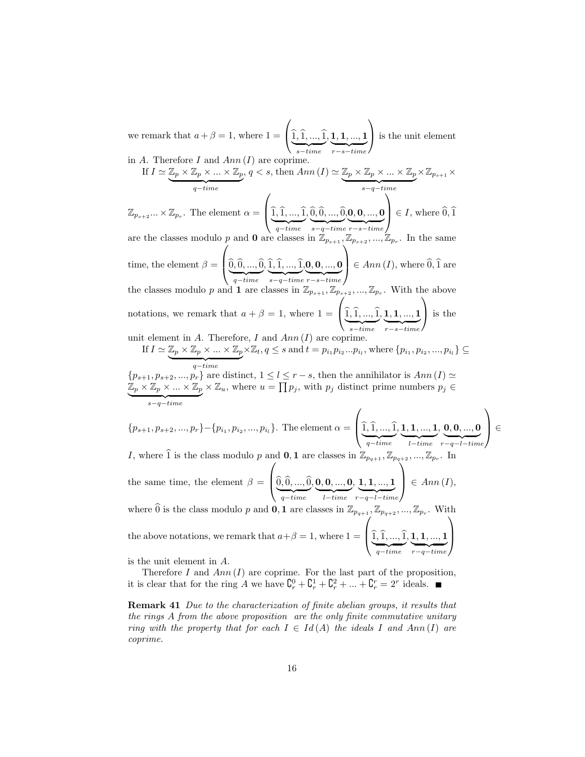we remark that  $a + \beta = 1$ , where  $1 =$  $\overline{1}$  $\left[1, 1, ..., 1\right]$  $\frac{s - time}{s - time}$  $, \mathbf{1}, \mathbf{1}, ..., \mathbf{1}$  ${r - s - time}$  $\mathcal{L}$ is the unit element

in A. Therefore I and  $Ann(I)$  are coprime.

If 
$$
I \simeq \underbrace{\mathbb{Z}_p \times \mathbb{Z}_p \times \ldots \times \mathbb{Z}_p}_{q-time}
$$
,  $q < s$ , then Ann  $(I) \simeq \underbrace{\mathbb{Z}_p \times \mathbb{Z}_p \times \ldots \times \mathbb{Z}_p}_{s-q-time} \times \mathbb{Z}_{p_{s+1}} \times$ 

 $\mathbb{Z}_{p_{s+2}}...\times \mathbb{Z}_{p_r}$ . The element  $\alpha =$  $\left\{\frac{\widehat{1}, \widehat{1}, \ldots, \widehat{1}}{q - time}\right\}$  $, 0, 0, ..., 0$  $\overbrace{\phantom{aaaaa}}^{\phantom{aaaa}}$ , s−q−time  $0, 0, ..., 0$  ${r - s - time}$  $\Big\} \in I$ , where  $\widehat{0}, \widehat{1}$ 

are the classes modulo p and **0** are classes in  $\mathbb{Z}_{p_{s+1}}, \mathbb{Z}_{p_{s+2}}, ..., \mathbb{Z}_{p_r}$ . In the same time, the element  $\beta =$  $\overline{I}$  $\left( \underbrace{0,0,...,0}_{q-time}\right)$  $, 1, 1, ..., 1$  $\overbrace{\phantom{aaaaa}}^{\phantom{aaaa}}$ , s−q−time  $0, 0, ..., 0$  ${r - s - time}$  $\lambda$  $\Big\{\in Ann(I),$  where  $\widehat{0},\widehat{1}$  are the classes modulo p and **1** are classes in  $\mathbb{Z}_{p_{s+1}}, \mathbb{Z}_{p_{s+2}}, ..., \mathbb{Z}_{p_r}$ . With the above

notations, we remark that  $a + \beta = 1$ , where  $1 =$  $\tilde{I}$  $\left[1, 1, ..., 1\right]$  $\sum_{s-time}$  $, 1, 1, ..., 1$  ${r - s - time}$  $\mathcal{L}$ is the

unit element in  $A$ . Therefore,  $I$  and  $Ann(I)$  are coprime.

If  $I \simeq \mathbb{Z}_p \times \mathbb{Z}_p \times ... \times \mathbb{Z}_p$  ${q - time}$  $\times \mathbb{Z}_t, q \leq s$  and  $t = p_{i_1}p_{i_2}...p_{i_l}$ , where  $\{p_{i_1}, p_{i_2}, ..., p_{i_l}\} \subseteq$ 

 ${p_{s+1}, p_{s+2}, ..., p_r}$  are distinct,  $1 \leq l \leq r - s$ , then the annihilator is  $Ann(I) \simeq$  $\overline{\mathbb{Z}}_p\times \overline{\mathbb{Z}}_p\times ...\times \overline{\mathbb{Z}}_p$  $s-q-time$  $\times \mathbb{Z}_u$ , where  $u = \prod p_j$ , with  $p_j$  distinct prime numbers  $p_j \in$ 

 $\{p_{s+1}, p_{s+2}, ..., p_r\} - \{p_{i_1}, p_{i_2}, ..., p_{i_l}\}.$  The element  $\alpha =$  $\overline{1}$  $\begin{bmatrix} 1, 1, ..., 1 \\ \frac{q - time}{\end{bmatrix}$  $, \mathbf{1}, \mathbf{1}, ..., \mathbf{1}$  $\overbrace{ }$ , l−time  $\mathbf{0}, \mathbf{0},...,\mathbf{0}$  $\sum_{r-q-l-time}$  $\mathcal{L}$ ∈

I, where  $\widehat{1}$  is the class modulo p and  $\mathbf{0}, \mathbf{1}$  are classes in  $\mathbb{Z}_{p_{q+1}}, \mathbb{Z}_{p_{q+2}}, ..., \mathbb{Z}_p$ . In the same time, the element  $\beta =$  $\sqrt{ }$  $\begin{pmatrix} \hat{0}, \hat{0}, ..., \hat{0} \\ \frac{q - time}{q - \hat{0}} \end{pmatrix}$  $, \mathbf{0}, \mathbf{0},...,\mathbf{0}$  $\overbrace{ }$ , l−time  $1, 1, ..., 1$  $\sum_{r-q-l-time}$  $\sqrt{2}$  $\Big\} \in Ann(I),$ where  $\widehat{0}$  is the class modulo p and **0**, **1** are classes in  $\mathbb{Z}_{p_{q+1}}, \mathbb{Z}_{p_{q+2}}, ..., \mathbb{Z}_{p_r}$ . With the above notations, we remark that  $a+\beta=1$ , where  $1=$  $\overline{ }$  $\begin{cases} \underbrace{\hat{1}, \hat{1}, ..., \hat{1}}_{q-time} \end{cases}$  $, \boldsymbol{1}, \boldsymbol{1}, ..., \boldsymbol{1}$  ${r-q-time}$  $\sqrt{2}$  $\cdot$ 

is the unit element in A.

Therefore I and  $Ann(I)$  are coprime. For the last part of the proposition, it is clear that for the ring A we have  $\mathbf{C}_r^0 + \mathbf{C}_r^1 + \mathbf{C}_r^2 + \dots + \mathbf{C}_r^r = 2^r$  ideals.

Remark 41 Due to the characterization of finite abelian groups, it results that the rings A from the above proposition are the only finite commutative unitary ring with the property that for each  $I \in Id(A)$  the ideals I and Ann (I) are coprime.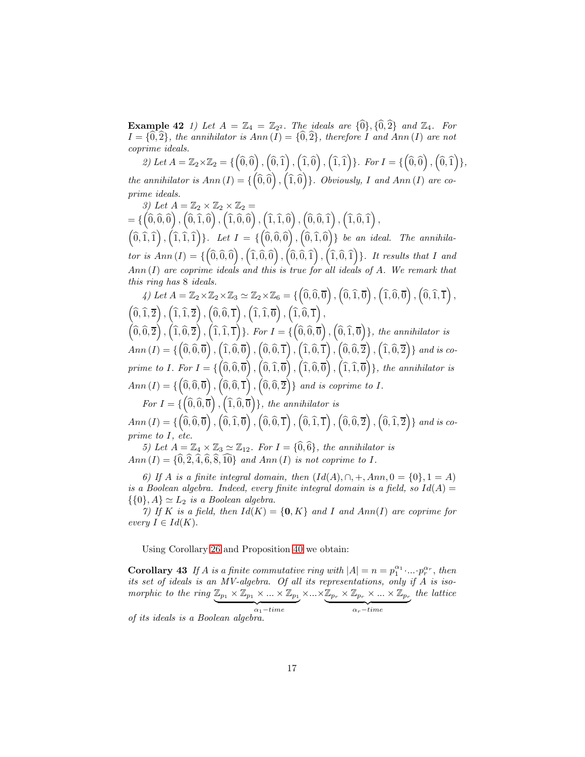**Example 42** 1) Let  $A = \mathbb{Z}_4 = \mathbb{Z}_{2^2}$ . The ideals are  $\{\widehat{0}\}, \{\widehat{0}, \widehat{2}\}$  and  $\mathbb{Z}_4$ . For  $I = \{0, 2\}$ , the annihilator is  $Ann(I) = \{0, 2\}$ , therefore I and Ann (I) are not coprime ideals.

2) Let  $A = \mathbb{Z}_2 \times \mathbb{Z}_2 = \{ (0,0), (0,0), (0,0), (0,0), (0,0) \}$ . For  $I = \{ (0,0), (0,0) \}$ , the annihilator is  $Ann(I) = \{ (0, 0) , (1, 0) \}$ . Obviously, I and  $Ann(I)$  are coprime ideals.

3) Let  $A = \mathbb{Z}_2 \times \mathbb{Z}_2 \times \mathbb{Z}_2 =$  $=\{\left(\widehat{0},\widehat{0},\widehat{0}\right),\left(\widehat{0},\widehat{1},\widehat{0}\right),\left(\widehat{1},\widehat{0},\widehat{0}\right),\left(\widehat{1},\widehat{1},\widehat{0}\right),\left(\widehat{0},\widehat{0},\widehat{1}\right),\left(\widehat{1},\widehat{0},\widehat{1}\right),$  $\left( \widehat{0}, \widehat{1}, \widehat{1} \right), \left( \widehat{1}, \widehat{1}, \widehat{1} \right) \}$ . Let  $I = \{ \left( \widehat{0}, \widehat{0}, \widehat{0} \right), \left( \widehat{0}, \widehat{1}, \widehat{0} \right) \}$  be an ideal. The annihilator is  $Ann(I) = \{ (0,0,0), (1,0,0), (0,0,1), (1,0,1) \}$ . It results that I and  $Ann(I)$  are coprime ideals and this is true for all ideals of  $A$ . We remark that this ring has 8 ideals.

4) Let  $A = \mathbb{Z}_2 \times \mathbb{Z}_2 \times \mathbb{Z}_3 \simeq \mathbb{Z}_2 \times \mathbb{Z}_6 = \{ \left( \widehat{0}, \widehat{0}, \overline{0} \right), \left( \widehat{0}, \widehat{1}, \overline{0} \right), \left( \widehat{1}, \widehat{0}, \overline{0} \right), \left( \widehat{0}, \widehat{1}, \overline{1} \right), \}$  $\left(\widehat{0},\widehat{1},\overline{2}\right),\left(\widehat{1},\widehat{1},\overline{2}\right),\left(\widehat{0},\widehat{0},\overline{1}\right),\left(\widehat{1},\widehat{1},\overline{0}\right),\left(\widehat{1},\widehat{0},\overline{1}\right),$  $\left( \widehat{0}, \widehat{0}, \overline{2} \right), \left( \widehat{1}, \widehat{0}, \overline{2} \right), \left( \widehat{1}, \widehat{1}, \overline{1} \right) \}$ . For  $I = \left\{ \left( \widehat{0}, \widehat{0}, \overline{0} \right), \left( \widehat{0}, \widehat{1}, \overline{0} \right) \right\}$ , the annihilator is  $Ann (I) = \{ (0,0,0) , (1,0,0) , (0,0,1) , (1,0,1) , (0,0,2) , (1,0,2) \}$  and is coprime to I. For  $I = \{ \left( \widehat{0}, \widehat{0}, \overline{0} \right), \left( \widehat{0}, \widehat{1}, \overline{0} \right), \left( \widehat{1}, \widehat{0}, \overline{0} \right), \left( \widehat{1}, \widehat{1}, \overline{0} \right) \}$ , the annihilator is  $Ann (I) = \{ (0, 0, 0) , (0, 0, 1) , (0, 0, 2) \}$  and is coprime to I.

For  $I = \{ \left( \widehat{0}, \widehat{0}, \overline{0} \right), \left( \widehat{1}, \widehat{0}, \overline{0} \right) \}$ , the annihilator is

 $Ann\left( I \right) = \lbrace \left( \hat{\overline{0}}, \widehat{\overline{0}}, \overline{\overline{0}} \right) , \left( \hat{\overline{0}}, \widehat{\overline{1}}, \overline{\overline{0}} \right) , \left( \widehat{\overline{0}}, \widehat{\overline{0}}, \overline{\overline{1}} \right) , \left( \widehat{\overline{0}}, \widehat{\overline{1}}, \overline{\overline{1}} \right) , \left( \widehat{\overline{0}}, \widehat{\overline{0}}, \overline{\overline{2}} \right) \rbrace$  and is coprime to I, etc.

5) Let  $A = \mathbb{Z}_4 \times \mathbb{Z}_3 \simeq \mathbb{Z}_{12}$ . For  $I = \{\hat{0}, \hat{6}\}\$ , the annihilator is Ann  $(I) = \{0, 2, 4, 6, 8, 10\}$  and Ann  $(I)$  is not coprime to I.

6) If A is a finite integral domain, then  $(Id(A), \cap, +, Ann, 0 = \{0\}, 1 = A)$ is a Boolean algebra. Indeed, every finite integral domain is a field, so  $Id(A) =$  $\{\{0\}, A\} \simeq L_2$  is a Boolean algebra.

7) If K is a field, then  $Id(K) = \{0, K\}$  and I and Ann(I) are coprime for every  $I \in Id(K)$ .

<span id="page-16-0"></span>Using Corollary [26](#page-9-0) and Proposition [40](#page-14-0) we obtain:

**Corollary 43** If A is a finite commutative ring with  $|A| = n = p_1^{\alpha_1} \cdot ... \cdot p_r^{\alpha_r}$ , then its set of ideals is an MV-algebra. Of all its representations, only if A is isomorphic to the ring  $\mathbb{Z}_{p_1} \times \mathbb{Z}_{p_1} \times ... \times \mathbb{Z}_{p_1}$  $\overbrace{\hspace{2.5em}}$  $\times \ldots \times$  $\alpha_1 - time$  $\Z_{p_r}\times \Z_{p_r}\times...\times \Z_{p_r}$  $\alpha_r - time$ the lattice

of its ideals is a Boolean algebra.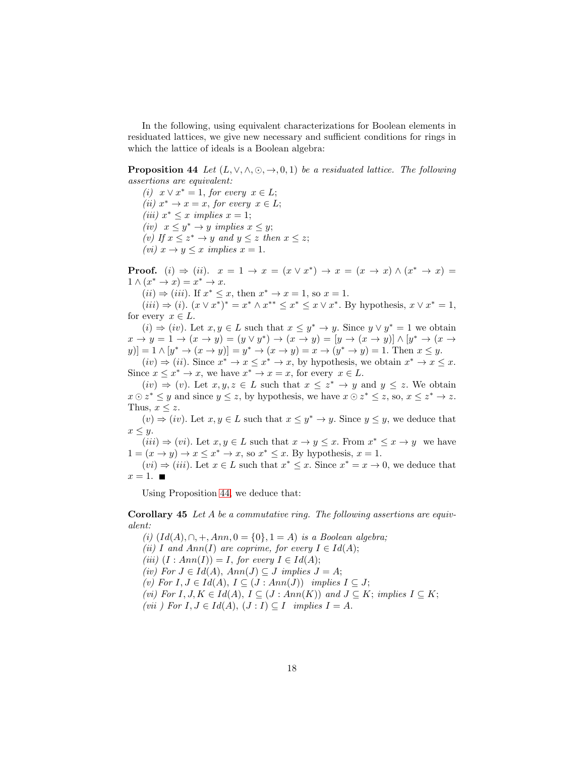In the following, using equivalent characterizations for Boolean elements in residuated lattices, we give new necessary and sufficient conditions for rings in which the lattice of ideals is a Boolean algebra:

<span id="page-17-1"></span>**Proposition 44** Let  $(L, \vee, \wedge, \odot, \rightarrow, 0, 1)$  be a residuated lattice. The following assertions are equivalent:

(i)  $x \vee x^* = 1$ , for every  $x \in L$ ; (ii)  $x^* \to x = x$ , for every  $x \in L$ ; (iii)  $x^* \leq x$  implies  $x = 1$ ; (iv)  $x \leq y^* \rightarrow y$  implies  $x \leq y$ ; (v) If  $x \leq z^* \rightarrow y$  and  $y \leq z$  then  $x \leq z$ ; (*vi*)  $x \to y \leq x$  *implies*  $x = 1$ .

**Proof.** (i)  $\Rightarrow$  (ii).  $x = 1 \rightarrow x = (x \vee x^*) \rightarrow x = (x \rightarrow x) \wedge (x^* \rightarrow x) =$  $1 \wedge (x^* \rightarrow x) = x^* \rightarrow x.$ 

 $(ii) \Rightarrow (iii)$ . If  $x^* \leq x$ , then  $x^* \to x = 1$ , so  $x = 1$ .

 $(iii)$  ⇒  $(i)$ .  $(x \vee x^*)^* = x^* \wedge x^{**} \le x^* \le x \vee x^*$ . By hypothesis,  $x \vee x^* = 1$ , for every  $x \in L$ .

 $(i) \Rightarrow (iv)$ . Let  $x, y \in L$  such that  $x \leq y^* \rightarrow y$ . Since  $y \vee y^* = 1$  we obtain  $x \to y = 1 \to (x \to y) = (y \lor y^*) \to (x \to y) = [y \to (x \to y)] \land [y^* \to (x \to y)]$  $[y(0)] = 1 \wedge [y^* \to (x \to y)] = y^* \to (x \to y) = x \to (y^* \to y) = 1.$  Then  $x \leq y$ .  $(iv) \Rightarrow (ii)$ . Since  $x^* \rightarrow x \leq x^* \rightarrow x$ , by hypothesis, we obtain  $x^* \rightarrow x \leq x$ .

Since  $x \leq x^* \to x$ , we have  $x^* \to x = x$ , for every  $x \in L$ .

 $(iv) \Rightarrow (v)$ . Let  $x, y, z \in L$  such that  $x \leq z^* \rightarrow y$  and  $y \leq z$ . We obtain  $x \odot z^* \leq y$  and since  $y \leq z$ , by hypothesis, we have  $x \odot z^* \leq z$ , so,  $x \leq z^* \rightarrow z$ . Thus,  $x \leq z$ .

 $(v) \Rightarrow (iv)$ . Let  $x, y \in L$  such that  $x \leq y^* \rightarrow y$ . Since  $y \leq y$ , we deduce that  $x \leq y$ .

 $(iii) \Rightarrow (vi)$ . Let  $x, y \in L$  such that  $x \to y \leq x$ . From  $x^* \leq x \to y$  we have  $1 = (x \rightarrow y) \rightarrow x \leq x^* \rightarrow x$ , so  $x^* \leq x$ . By hypothesis,  $x = 1$ .

 $(vi) \Rightarrow (iii)$ . Let  $x \in L$  such that  $x^* \leq x$ . Since  $x^* = x \rightarrow 0$ , we deduce that  $x=1.$ 

<span id="page-17-0"></span>Using Proposition [44,](#page-17-1) we deduce that:

**Corollary 45** Let A be a commutative ring. The following assertions are equivalent:

(i)  $Id(A), \cap, +, Ann, 0 = \{0\}, 1 = A)$  is a Boolean algebra; (ii) I and Ann(I) are coprime, for every  $I \in Id(A);$ (iii)  $(I : Ann(I)) = I$ , for every  $I \in Id(A);$ (iv) For  $J \in Id(A)$ ,  $Ann(J) \subseteq J$  implies  $J = A$ ; (v) For  $I, J \in Id(A), I \subseteq (J : Ann(J))$  implies  $I \subseteq J;$ (vi) For  $I, J, K \in Id(A), I \subseteq (J : Ann(K))$  and  $J \subseteq K$ ; implies  $I \subseteq K$ ; (vii) For  $I, J \in Id(A), (J : I) \subseteq I$  implies  $I = A$ .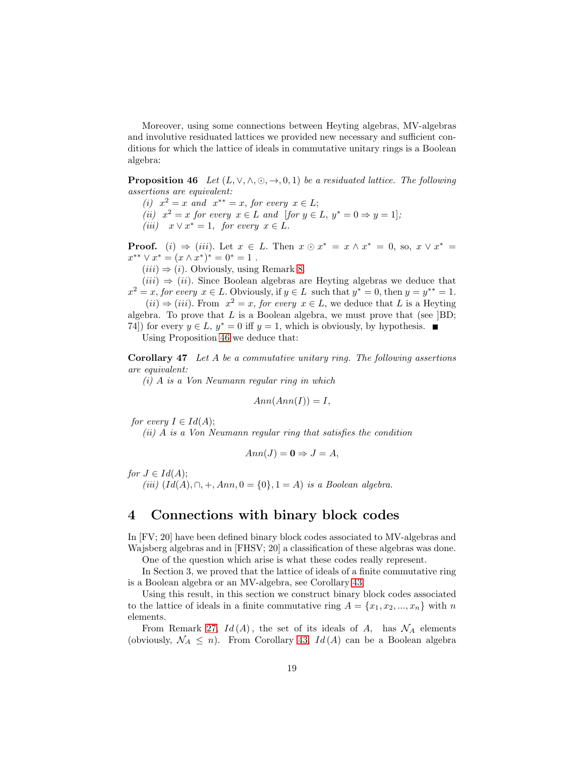Moreover, using some connections between Heyting algebras, MV-algebras and involutive residuated lattices we provided new necessary and sufficient conditions for which the lattice of ideals in commutative unitary rings is a Boolean algebra:

<span id="page-18-1"></span>**Proposition 46** Let  $(L, \vee, \wedge, \odot, \rightarrow, 0, 1)$  be a residuated lattice. The following assertions are equivalent:

(i)  $x^2 = x$  and  $x^{**} = x$ , for every  $x \in L$ ;

(ii)  $x^2 = x$  for every  $x \in L$  and [for  $y \in L$ ,  $y^* = 0 \Rightarrow y = 1$ ];

(iii)  $x \vee x^* = 1$ , for every  $x \in L$ .

**Proof.** (i)  $\Rightarrow$  (iii). Let  $x \in L$ . Then  $x \odot x^* = x \wedge x^* = 0$ , so,  $x \vee x^* =$  $x^{**} \vee x^* = (x \wedge x^*)^* = 0^* = 1$ .

 $(iii) \Rightarrow (i)$ . Obviously, using Remark [8.](#page-3-0)

 $(iii) \Rightarrow (ii)$ . Since Boolean algebras are Heyting algebras we deduce that  $x^2 = x$ , for every  $x \in L$ . Obviously, if  $y \in L$  such that  $y^* = 0$ , then  $y = y^{**} = 1$ .

 $(ii) \Rightarrow (iii)$ . From  $x^2 = x$ , for every  $x \in L$ , we deduce that L is a Heyting algebra. To prove that  $L$  is a Boolean algebra, we must prove that (see  $]$ BD; 74) for every  $y \in L$ ,  $y^* = 0$  iff  $y = 1$ , which is obviously, by hypothesis. ■

<span id="page-18-0"></span>

Using Proposition [46](#page-18-1) we deduce that:

Corollary 47 Let A be a commutative unitary ring. The following assertions are equivalent:

(i) A is a Von Neumann regular ring in which

$$
Ann(Ann(I)) = I,
$$

for every  $I \in Id(A);$ 

(ii) A is a Von Neumann regular ring that satisfies the condition

$$
Ann(J) = \mathbf{0} \Rightarrow J = A,
$$

for  $J \in Id(A);$ 

(iii)  $(Id(A), \cap, +, Ann, 0 = \{0\}, 1 = A)$  is a Boolean algebra.

### 4 Connections with binary block codes

In [FV; 20] have been defined binary block codes associated to MV-algebras and Wajsberg algebras and in [FHSV; 20] a classification of these algebras was done.

One of the question which arise is what these codes really represent.

In Section 3, we proved that the lattice of ideals of a finite commutative ring is a Boolean algebra or an MV-algebra, see Corollary [43.](#page-16-0)

Using this result, in this section we construct binary block codes associated to the lattice of ideals in a finite commutative ring  $A = \{x_1, x_2, ..., x_n\}$  with n elements.

From Remark [27,](#page-10-2)  $Id(A)$ , the set of its ideals of A, has  $\mathcal{N}_A$  elements (obviously,  $\mathcal{N}_A \leq n$ ). From Corollary [43,](#page-16-0)  $Id(A)$  can be a Boolean algebra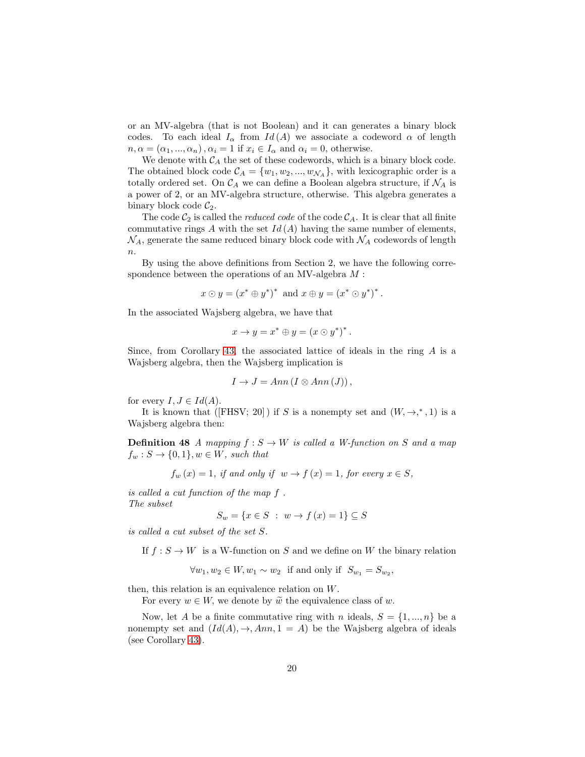or an MV-algebra (that is not Boolean) and it can generates a binary block codes. To each ideal  $I_{\alpha}$  from  $Id(A)$  we associate a codeword  $\alpha$  of length  $n, \alpha = (\alpha_1, ..., \alpha_n), \alpha_i = 1$  if  $x_i \in I_\alpha$  and  $\alpha_i = 0$ , otherwise.

We denote with  $C_A$  the set of these codewords, which is a binary block code. The obtained block code  $C_A = \{w_1, w_2, ..., w_{\mathcal{N}_A}\}\$ , with lexicographic order is a totally ordered set. On  $\mathcal{C}_A$  we can define a Boolean algebra structure, if  $\mathcal{N}_A$  is a power of 2, or an MV-algebra structure, otherwise. This algebra generates a binary block code  $\mathcal{C}_2$ .

The code  $C_2$  is called the *reduced code* of the code  $C_A$ . It is clear that all finite commutative rings A with the set  $Id(A)$  having the same number of elements,  $\mathcal{N}_A$ , generate the same reduced binary block code with  $\mathcal{N}_A$  codewords of length  $\overline{n}$ .

By using the above definitions from Section 2, we have the following correspondence between the operations of an MV-algebra M :

$$
x \odot y = (x^* \oplus y^*)^* \text{ and } x \oplus y = (x^* \odot y^*)^*.
$$

In the associated Wajsberg algebra, we have that

$$
x \to y = x^* \oplus y = (x \odot y^*)^*.
$$

Since, from Corollary [43,](#page-16-0) the associated lattice of ideals in the ring  $A$  is a Wajsberg algebra, then the Wajsberg implication is

$$
I \to J = Ann (I \otimes Ann(J)),
$$

for every  $I, J \in Id(A)$ .

It is known that ([FHSV; 20]) if S is a nonempty set and  $(W, \rightarrow,^*, 1)$  is a Wajsberg algebra then:

**Definition 48** A mapping  $f : S \to W$  is called a W-function on S and a map  $f_w : S \to \{0,1\}, w \in W$ , such that

$$
f_w(x) = 1
$$
, if and only if  $w \to f(x) = 1$ , for every  $x \in S$ ,

is called a cut function of the map f . The subset

$$
S_w = \{ x \in S \; : \; w \to f(x) = 1 \} \subseteq S
$$

is called a cut subset of the set S.

If  $f : S \to W$  is a W-function on S and we define on W the binary relation

 $\forall w_1, w_2 \in W, w_1 \sim w_2$  if and only if  $S_{w_1} = S_{w_2}$ ,

then, this relation is an equivalence relation on W.

For every  $w \in W$ , we denote by  $\widetilde{w}$  the equivalence class of w.

Now, let A be a finite commutative ring with n ideals,  $S = \{1, ..., n\}$  be a nonempty set and  $(Id(A), \rightarrow, Ann, 1 = A)$  be the Wajsberg algebra of ideals (see Corollary [43\)](#page-16-0).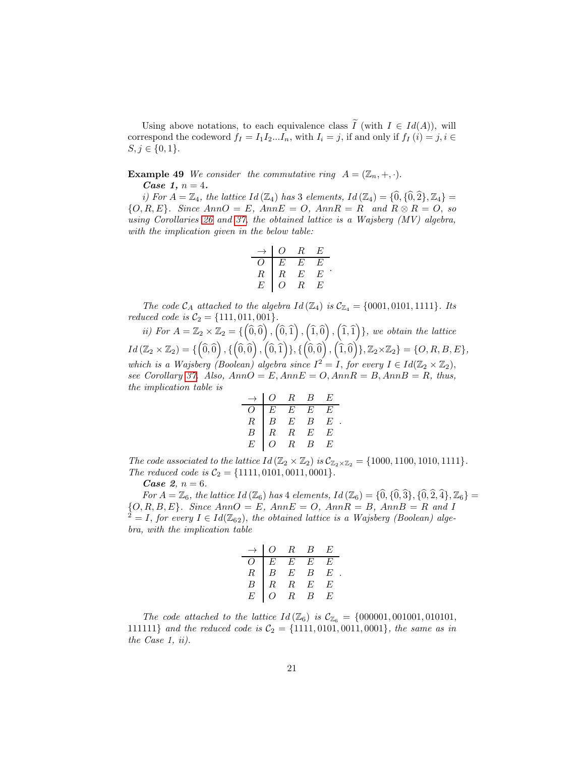Using above notations, to each equivalence class  $\tilde{I}$  (with  $I \in Id(A)$ ), will correspond the codeword  $f_I = I_1 I_2...I_n$ , with  $I_i = j$ , if and only if  $f_I(i) = j, i \in$  $S, j \in \{0, 1\}.$ 

<span id="page-20-0"></span>**Example 49** We consider the commutative ring  $A = (\mathbb{Z}_n, +, \cdot)$ .

*Case 1,*  $n = 4$ *.* 

i) For  $A = \mathbb{Z}_4$ , the lattice Id  $(\mathbb{Z}_4)$  has 3 elements, Id  $(\mathbb{Z}_4) = \{0, \{0, 2\}, \mathbb{Z}_4\} =$  $\{O, R, E\}$ . Since Ann $O = E$ , Ann $E = O$ , Ann $R = R$  and  $R \otimes R = O$ , so using Corollaries [26](#page-9-0) and [37,](#page-13-0) the obtained lattice is a Wajsberg (MV) algebra, with the implication given in the below table:

$$
\begin{array}{c|cc}\n\to & O & R & E \\
\hline\nO & E & E & E \\
R & R & E & E \\
E & O & R & E\n\end{array}.
$$

The code  $\mathcal{C}_A$  attached to the algebra  $Id(\mathbb{Z}_4)$  is  $\mathcal{C}_{\mathbb{Z}_4} = \{0001, 0101, 1111\}$ . Its reduced code is  $C_2 = \{111, 011, 001\}.$ 

ii) For  $A = \mathbb{Z}_2 \times \mathbb{Z}_2 = \{ \left( \widehat{0}, \widehat{0} \right), \left( \widehat{0}, \widehat{1} \right), \left( \widehat{1}, \widehat{0} \right), \left( \widehat{1}, \widehat{1} \right) \}$ , we obtain the lattice  $Id\left(\mathbb{Z}_{2}\times\mathbb{Z}_{2}\right)=\{\left(\widehat{0},\widehat{0}\right),\left\{\left(\widehat{0},\widehat{0}\right),\left(\widehat{0},\widehat{1}\right)\},\left\{\left(\widehat{0},\widehat{0}\right),\left(\widehat{1},\widehat{0}\right)\},\mathbb{Z}_{2}\times\mathbb{Z}_{2}\}=\{O,R,B,E\},$ which is a Wajsberg (Boolean) algebra since  $I^2 = I$ , for every  $I \in Id(\mathbb{Z}_2 \times \mathbb{Z}_2)$ , see Corollary [37.](#page-13-0) Also,  $AnnO = E, AnnE = O, AnnR = B, AnnB = R, thus,$ the implication table is

$$
\begin{array}{c|cccc}\n\to & O & R & B & E \\
\hline\nO & E & E & E & E \\
R & B & E & B & E \\
B & R & R & E & E \\
E & O & R & B & E\n\end{array}
$$

.

The code associated to the lattice  $Id(\mathbb{Z}_2 \times \mathbb{Z}_2)$  is  $\mathcal{C}_{\mathbb{Z}_2 \times \mathbb{Z}_2} = \{1000, 1100, 1010, 1111\}.$ The reduced code is  $C_2 = \{1111, 0101, 0011, 0001\}.$ 

*Case 2,*  $n = 6$ *.* 

For  $A = \mathbb{Z}_6$ , the lattice  $Id(\mathbb{Z}_6)$  has 4 elements,  $Id(\mathbb{Z}_6) = {\hat{0}, \{\hat{0}, \hat{3}\}, \{\hat{0}, \hat{2}, \hat{4}\}, \mathbb{Z}_6\}}$  $\{O, R, B, E\}$ . Since  $AnnO = E$ ,  $AnnE = O$ ,  $AnnR = B$ ,  $AnnB = R$  and I  $2^2 = I$ , for every  $I \in Id(\mathbb{Z}_{62})$ , the obtained lattice is a Wajsberg (Boolean) algebra, with the implication table

|           |                  | $R_{\parallel}$ | $\mathcal{B}$             | E  |
|-----------|------------------|-----------------|---------------------------|----|
|           | E                | E               | $E_{\parallel}$           | F, |
| $\, R \,$ | $\boldsymbol{B}$ | $\cal E$        | B                         | E  |
| В         | R                | $R_{\parallel}$ | E                         | E  |
|           |                  | $\overline{R}$  | $\boldsymbol{\mathsf{B}}$ | H, |

The code attached to the lattice  $Id(\mathbb{Z}_6)$  is  $\mathcal{C}_{\mathbb{Z}_6} = \{000001, 001001, 010101,$ 111111} and the reduced code is  $C_2 = \{1111, 0101, 0011, 0001\}$ , the same as in the Case 1, ii).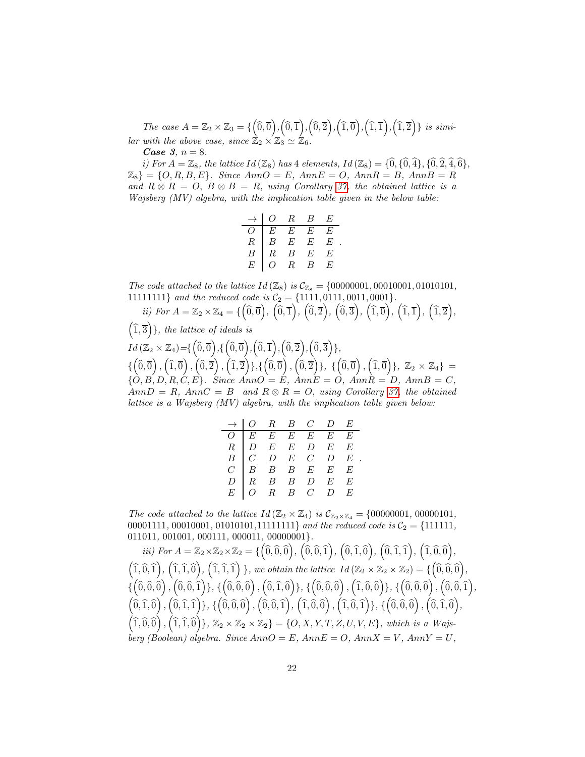The case  $A = \mathbb{Z}_2 \times \mathbb{Z}_3 = \{ (0, \overline{0}), (0, \overline{1}), (0, \overline{2}), (1, \overline{0}), (1, \overline{1}), (1, \overline{2}) \}$  is similar with the above case, since  $\mathbb{Z}_2 \times \mathbb{Z}_3 \simeq \mathbb{Z}_6$ .

*Case 3, n* = 8.

i) For  $A = \mathbb{Z}_8$ , the lattice Id  $(\mathbb{Z}_8)$  has 4 elements, Id  $(\mathbb{Z}_8) = \{0, \{0, 4\}, \{0, 2, 4, 6\},\}$  $\mathbb{Z}_8$  = {O, R, B, E}. Since  $AnnO = E$ ,  $AnnE = O$ ,  $AnnR = B$ ,  $AnnB = R$ and  $R \otimes R = O$ ,  $B \otimes B = R$ , using Corollary [37,](#page-13-0) the obtained lattice is a Wajsberg (MV) algebra, with the implication table given in the below table:

|          | Ω.       | $R_{\scriptscriptstyle\perp}$ | $B_{-}$         | H) |  |
|----------|----------|-------------------------------|-----------------|----|--|
|          | $E^-$    | $\overline{E}$                | E               | H) |  |
| $\cal R$ | B        | $E_{-}$                       | $E_{\parallel}$ | E  |  |
|          | $\cal R$ | $\overline{B}$                | $E_{\parallel}$ | E  |  |
|          |          | R                             |                 | H, |  |

The code attached to the lattice  $Id (\mathbb{Z}_8)$  is  $C_{\mathbb{Z}_8} = \{00000001, 00010001, 01010101,$ 11111111} and the reduced code is C<sup>2</sup> = {1111, 0111, 0011, 0001}.

ii) For 
$$
A = \mathbb{Z}_2 \times \mathbb{Z}_4 = \{ (0,0), (0,1), (0,2), (0,3), (1,0), (1,1), (1,2), (1,3) \}
$$
, the lattice of ideals is  
\n
$$
Id(\mathbb{Z}_2 \times \mathbb{Z}_4) = \{ (0,0), (0,0), (0,1), (0,2), (0,3) \}
$$
\n
$$
\{ (0,0), (1,0), (0,2), (1,2) \}, \{ (0,0), (0,2), (0,3) \}
$$
\n
$$
\{ (0,0), (1,0), (0,2), (1,2) \}, \{ (0,0), (0,2) \}, \{ (0,0), (1,0) \}
$$
,  $\mathbb{Z}_2 \times \mathbb{Z}_4 \} =$ \n
$$
[ (0,0,0), (0,1), (0,2), (0,3) \}
$$
\n
$$
[ (0,0,0), (0,1), (0,2) \}
$$
\n
$$
[ (0,0,0), (0,2), (0,3) \}
$$
\n
$$
[ (0,0,0), (0,2) \]
$$
\n
$$
[ (0,0,0), (0,0) \]
$$
\n
$$
[ (0,0,0), (0,0) \]
$$
\n
$$
[ (0,0,0), (0,0) \]
$$
\n
$$
[ (0,0,0), (0,0) \]
$$
\n
$$
[ (0,0,0), (0,0) \]
$$
\n
$$
[ (0,0,0), (0,0) \]
$$
\n
$$
[ (0,0,0), (0,0) \]
$$
\n
$$
[ (0,0,0), (0,0) \]
$$
\n
$$
[ (0,0,0), (0,0) \]
$$
\n
$$
[ (0,0,0), (0,0) \]
$$
\n
$$
[ (0,0,0), (0,0) \]
$$
\n
$$
[ (0,0,0), (0,0) \]
$$
\n
$$
[ (0,0,0), (0,0) \]
$$
\n
$$
[ (0,0,0), (0,0) \]
$$
\n
$$
[ (0,0,0), (0,0) \]
$$
\n
$$
[ (0,0,0), (0,0)
$$

|  |  | $\rightarrow$   O R B C D E |                                                                                                                                                                                                                                          |
|--|--|-----------------------------|------------------------------------------------------------------------------------------------------------------------------------------------------------------------------------------------------------------------------------------|
|  |  |                             |                                                                                                                                                                                                                                          |
|  |  |                             |                                                                                                                                                                                                                                          |
|  |  |                             |                                                                                                                                                                                                                                          |
|  |  |                             |                                                                                                                                                                                                                                          |
|  |  |                             |                                                                                                                                                                                                                                          |
|  |  |                             | $\begin{array}{c cccccc} \multicolumn{3}{c }{O} & E & E & E & E & E \\ \hline C & D & E & E & D & E & E \\ B & C & D & E & C & D & E \\ C & B & B & B & E & E & E \\ D & R & B & B & D & E & E \\ E & O & R & B & C & D & E \end{array}$ |

The code attached to the lattice  $Id(\mathbb{Z}_2 \times \mathbb{Z}_4)$  is  $\mathcal{C}_{\mathbb{Z}_2 \times \mathbb{Z}_4} = \{00000001, 00000101,$ 00001111, 00010001, 01010101, 111111111} and the reduced code is  $C_2 = \{111111,$ 011011, 001001, 000111, 000011, 00000001}.

 $\begin{equation} \begin{aligned} iii)\ \overline{\text{For $A$} = \mathbb{Z}_2 \times \mathbb{Z}_2 \times \mathbb{Z}_2 = \{\left(\widehat{0}, \widehat{0}, \widehat{0}\right), \, \left(\widehat{0}, \widehat{0}, \widehat{1}\right), \, \left(\widehat{0}, \widehat{1}, \widehat{0}\right), \, \left(\widehat{0}, \widehat{1}, \widehat{1}\right), \, \left(\widehat{1}, \widehat{0}, \widehat{0}\right), \end{aligned} \end{equation}$  $\left( \widehat{1}, \widehat{0}, \widehat{1} \right), \left( \widehat{1}, \widehat{1}, \widehat{0} \right), \left( \widehat{1}, \widehat{1}, \widehat{1} \right) \}$ , we obtain the lattice  $Id \left( \mathbb{Z}_{2} \times \mathbb{Z}_{2} \times \mathbb{Z}_{2} \right) = \{ \left( \widehat{0}, \widehat{0}, \widehat{0} \right), \left( \widehat{1}, \widehat{1}, \widehat{1} \right) \}$  $\{\hat{n}(\hat{0},\hat{0},\hat{0})\}, \hat{0},\hat{0},\hat{1})\}, \{\hat{0},\hat{0},\hat{0}\}, \{\hat{0},\hat{1},\hat{0}\}\}, \{\hat{0},\hat{0},\hat{0}\}, \{\hat{1},\hat{0},\hat{0}\}, \{\hat{1},\hat{0},\hat{0}\}, \{\hat{0},\hat{0},\hat{1}\}, \{\hat{0},\hat{0},\hat{1}\}, \{\hat{0},\hat{0},\hat{1}\}, \{\hat{0},\hat{1},\hat{1}\}, \{\hat{0},\hat{1},\hat{1}\}, \{\hat{1},\hat{1$  $\left(\hat{0},\hat{1},\hat{0}\right),\left(\hat{0},\hat{1},\hat{1}\right),\left\{\left(\hat{0},\hat{0},\hat{0}\right),\left(\hat{0},\hat{0},\hat{1}\right),\left(\hat{1},\hat{0},\hat{0}\right),\left(\hat{1},\hat{0},\hat{1}\right)\right\},\left\{\left(\hat{0},\hat{0},\hat{0}\right),\left(\hat{0},\hat{1},\hat{0}\right),\right\}$  $\left( \hat{1}, \hat{0}, \hat{0} \right), \left( \hat{1}, \hat{1}, \hat{0} \right) \}, Z_2 \times Z_2 \times Z_2 \} = \{ O, X, Y, T, Z, U, V, E \},$  which is a Wajs- $\vec{begin}$  (Boolean) algebra. Since  $AnnO = E$ ,  $AnnE = O$ ,  $AnnX = V$ ,  $AnnY = U$ ,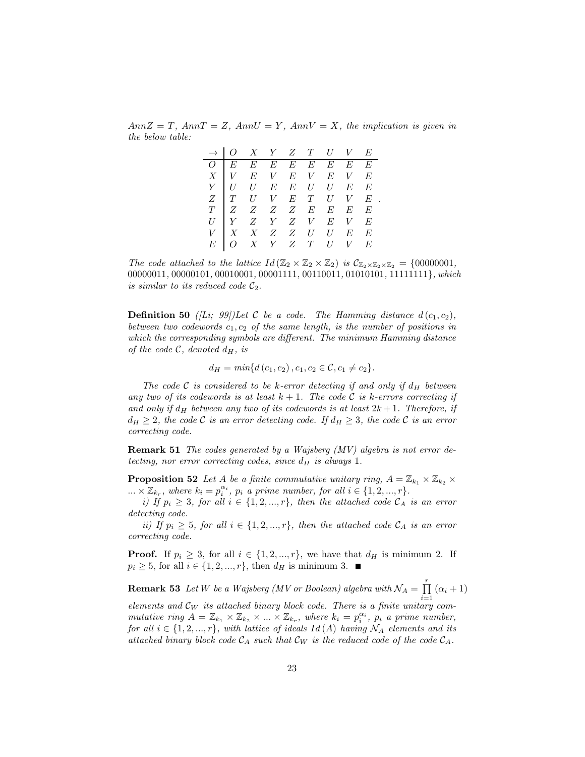$AnnZ = T$ ,  $AnnT = Z$ ,  $AnnU = Y$ ,  $AnnV = X$ , the implication is given in the below table:

|  | $\begin{array}{c ccccccccc} \multicolumn{3}{c }{\rightarrow} & O & X & Y & Z & T & U & V & E \\ \hline O & E & E & E & E & E & E & E & E \\ X & V & E & V & E & V & E & V & E \\ Y & U & U & E & E & U & U & E & E \\ Z & T & U & V & E & T & U & V & E \\ T & Z & Z & Z & Z & E & E & E & E \\ U & Y & Z & Y & Z & V & E & V & E \\ V & X & X & Z & Z & U & U & E & E \\ E & O & X & Y & Z & T & U & V & E \end{array}$ |  |  |  |
|--|--------------------------------------------------------------------------------------------------------------------------------------------------------------------------------------------------------------------------------------------------------------------------------------------------------------------------------------------------------------------------------------------------------------------------|--|--|--|
|  |                                                                                                                                                                                                                                                                                                                                                                                                                          |  |  |  |
|  |                                                                                                                                                                                                                                                                                                                                                                                                                          |  |  |  |
|  |                                                                                                                                                                                                                                                                                                                                                                                                                          |  |  |  |
|  |                                                                                                                                                                                                                                                                                                                                                                                                                          |  |  |  |
|  |                                                                                                                                                                                                                                                                                                                                                                                                                          |  |  |  |
|  |                                                                                                                                                                                                                                                                                                                                                                                                                          |  |  |  |
|  |                                                                                                                                                                                                                                                                                                                                                                                                                          |  |  |  |
|  |                                                                                                                                                                                                                                                                                                                                                                                                                          |  |  |  |

.

The code attached to the lattice  $Id(\mathbb{Z}_2 \times \mathbb{Z}_2 \times \mathbb{Z}_2)$  is  $\mathcal{C}_{\mathbb{Z}_2 \times \mathbb{Z}_2 \times \mathbb{Z}_2} = \{00000001,$ 00000011, 00000101, 00010001, 00001111, 00110011, 01010101, 11111111}, which is similar to its reduced code  $C_2$ .

**Definition 50** ([Li; 99])Let C be a code. The Hamming distance  $d(c_1, c_2)$ , between two codewords  $c_1, c_2$  of the same length, is the number of positions in which the corresponding symbols are different. The minimum Hamming distance of the code  $\mathcal{C}$ , denoted  $d_H$ , is

$$
d_{H} = min{d(c_1, c_2), c_1, c_2 \in \mathcal{C}, c_1 \neq c_2}.
$$

The code C is considered to be k-error detecting if and only if  $d_H$  between any two of its codewords is at least  $k + 1$ . The code C is k-errors correcting if and only if  $d_H$  between any two of its codewords is at least  $2k + 1$ . Therefore, if  $d_H \geq 2$ , the code C is an error detecting code. If  $d_H \geq 3$ , the code C is an error correcting code.

Remark 51 The codes generated by a Wajsberg (MV) algebra is not error detecting, nor error correcting codes, since  $d_H$  is always 1.

**Proposition 52** Let A be a finite commutative unitary ring,  $A = \mathbb{Z}_{k_1} \times \mathbb{Z}_{k_2} \times$  $\ldots \times \mathbb{Z}_{k_r}$ , where  $k_i = p_i^{\alpha_i}$ ,  $p_i$  a prime number, for all  $i \in \{1, 2, ..., r\}$ .

i) If  $p_i \geq 3$ , for all  $i \in \{1, 2, ..., r\}$ , then the attached code  $C_A$  is an error detecting code.

ii) If  $p_i \geq 5$ , for all  $i \in \{1, 2, ..., r\}$ , then the attached code  $C_A$  is an error correcting code.

**Proof.** If  $p_i \geq 3$ , for all  $i \in \{1, 2, ..., r\}$ , we have that  $d_H$  is minimum 2. If  $p_i \geq 5$ , for all  $i \in \{1, 2, ..., r\}$ , then  $d_H$  is minimum 3.  $\blacksquare$ 

**Remark 53** Let W be a Wajsberg (MV or Boolean) algebra with  $\mathcal{N}_A = \prod^r$  $\prod_{i=1}$   $(\alpha_i + 1)$ 

elements and  $\mathcal{C}_W$  its attached binary block code. There is a finite unitary commutative ring  $A = \mathbb{Z}_{k_1} \times \mathbb{Z}_{k_2} \times ... \times \mathbb{Z}_{k_r}$ , where  $k_i = p_i^{\alpha_i}$ ,  $p_i$  a prime number, for all  $i \in \{1, 2, ..., r\}$ , with lattice of ideals  $Id(A)$  having  $\mathcal{N}_A$  elements and its attached binary block code  $\mathcal{C}_A$  such that  $\mathcal{C}_W$  is the reduced code of the code  $\mathcal{C}_A$ .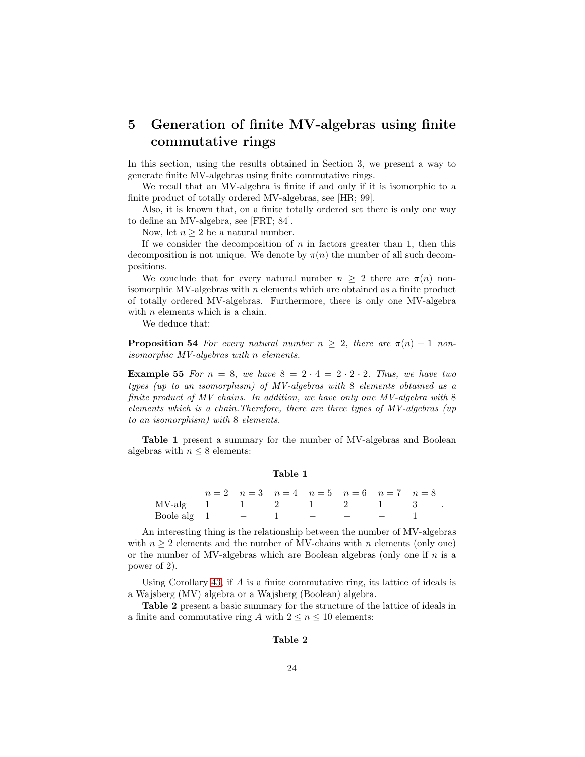## 5 Generation of finite MV-algebras using finite commutative rings

In this section, using the results obtained in Section 3, we present a way to generate finite MV-algebras using finite commutative rings.

We recall that an MV-algebra is finite if and only if it is isomorphic to a finite product of totally ordered MV-algebras, see [HR; 99].

Also, it is known that, on a finite totally ordered set there is only one way to define an MV-algebra, see [FRT; 84].

Now, let  $n \geq 2$  be a natural number.

If we consider the decomposition of  $n$  in factors greater than 1, then this decomposition is not unique. We denote by  $\pi(n)$  the number of all such decompositions.

We conclude that for every natural number  $n \geq 2$  there are  $\pi(n)$  nonisomorphic MV-algebras with  $n$  elements which are obtained as a finite product of totally ordered MV-algebras. Furthermore, there is only one MV-algebra with *n* elements which is a chain.

We deduce that:

**Proposition 54** For every natural number  $n > 2$ , there are  $\pi(n) + 1$  nonisomorphic MV-algebras with n elements.

**Example 55** For  $n = 8$ , we have  $8 = 2 \cdot 4 = 2 \cdot 2 \cdot 2$ . Thus, we have two types (up to an isomorphism) of MV-algebras with 8 elements obtained as a finite product of MV chains. In addition, we have only one MV-algebra with 8 elements which is a chain.Therefore, there are three types of MV-algebras (up to an isomorphism) with 8 elements.

Table 1 present a summary for the number of MV-algebras and Boolean algebras with  $n \leq 8$  elements:

#### Table 1

|                      |  |  | $n=2$ $n=3$ $n=4$ $n=5$ $n=6$ $n=7$ $n=8$ |  |
|----------------------|--|--|-------------------------------------------|--|
| MV-alg 1 1 2 1 2 1 3 |  |  |                                           |  |
| Boole alg $1$        |  |  |                                           |  |

.

An interesting thing is the relationship between the number of MV-algebras with  $n \geq 2$  elements and the number of MV-chains with n elements (only one) or the number of MV-algebras which are Boolean algebras (only one if  $n$  is a power of 2).

Using Corollary [43,](#page-16-0) if A is a finite commutative ring, its lattice of ideals is a Wajsberg (MV) algebra or a Wajsberg (Boolean) algebra.

Table 2 present a basic summary for the structure of the lattice of ideals in a finite and commutative ring A with  $2 \leq n \leq 10$  elements:

#### Table 2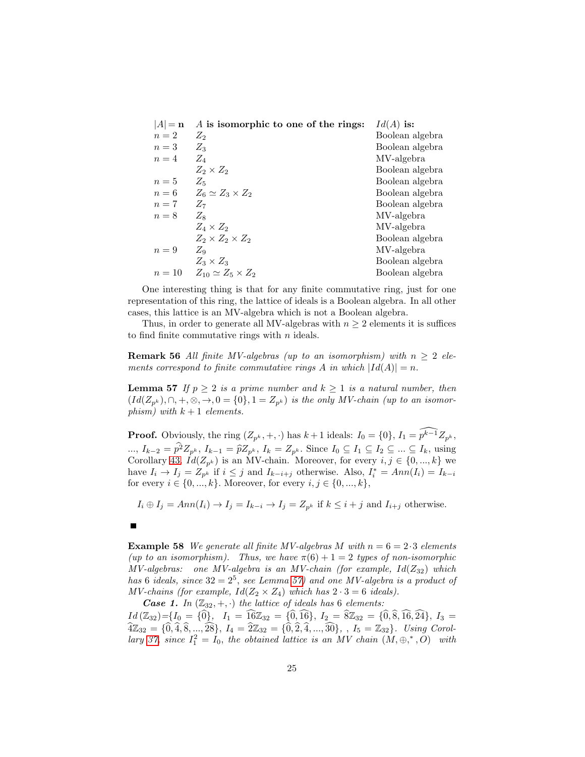| $ A  = n$ | A is isomorphic to one of the rings: | $Id(A)$ is:     |
|-----------|--------------------------------------|-----------------|
| $n=2$     | $Z_2$                                | Boolean algebra |
| $n=3$     | $Z_3$                                | Boolean algebra |
| $n=4$     | $Z_{\rm 4}$                          | MV-algebra      |
|           | $Z_2 \times Z_2$                     | Boolean algebra |
| $n=5$     | $Z_5$                                | Boolean algebra |
| $n=6$     | $Z_6 \simeq Z_3 \times Z_2$          | Boolean algebra |
| $n=7$     | $Z_7$                                | Boolean algebra |
| $n=8$     | $Z_8$                                | MV-algebra      |
|           | $Z_4 \times Z_2$                     | MV-algebra      |
|           | $Z_2 \times Z_2 \times Z_2$          | Boolean algebra |
| $n=9$     | $Z_9$                                | MV-algebra      |
|           | $Z_3 \times Z_3$                     | Boolean algebra |
| $n=10$    | $Z_{10} \simeq Z_5 \times Z_2$       | Boolean algebra |

One interesting thing is that for any finite commutative ring, just for one representation of this ring, the lattice of ideals is a Boolean algebra. In all other cases, this lattice is an MV-algebra which is not a Boolean algebra.

Thus, in order to generate all MV-algebras with  $n \geq 2$  elements it is suffices to find finite commutative rings with  $n$  ideals.

**Remark 56** All finite MV-algebras (up to an isomorphism) with  $n \geq 2$  elements correspond to finite commutative rings A in which  $|Id(A)| = n$ .

<span id="page-24-0"></span>**Lemma 57** If  $p \geq 2$  is a prime number and  $k \geq 1$  is a natural number, then  $(Id(Z_{p^k}), \cap, +, \otimes, \to, 0 = \{0\}, 1 = Z_{p^k})$  is the only MV-chain (up to an isomorphism) with  $k + 1$  elements.

**Proof.** Obviously, the ring  $(Z_{p^k}, +, \cdot)$  has  $k+1$  ideals:  $I_0 = \{0\}, I_1 = \widehat{p^{k-1}} Z_{p^k}$ , ...,  $I_{k-2} = p^2 Z_{p^k}$ ,  $I_{k-1} = \hat{p} Z_{p^k}$ ,  $I_k = Z_{p^k}$ . Since  $I_0 \subseteq I_1 \subseteq I_2 \subseteq ... \subseteq I_k$ , using Corollary [43,](#page-16-0)  $Id(Z_{p^k})$  is an MV-chain. Moreover, for every  $i, j \in \{0, ..., k\}$  we have  $I_i \to I_j = Z_{p^k}$  if  $i \leq j$  and  $I_{k-i+j}$  otherwise. Also,  $I_i^* = Ann(I_i) = I_{k-i}$ for every  $i \in \{0, ..., k\}$ . Moreover, for every  $i, j \in \{0, ..., k\}$ ,

 $I_i \oplus I_j = Ann(I_i) \to I_j = I_{k-i} \to I_j = Z_{p^k}$  if  $k \leq i + j$  and  $I_{i+j}$  otherwise.

**Example 58** We generate all finite MV-algebras M with  $n = 6 = 2 \cdot 3$  elements (up to an isomorphism). Thus, we have  $\pi(6) + 1 = 2$  types of non-isomorphic  $MV-algebras:$  one MV-algebra is an MV-chain (for example,  $Id(Z_{32})$  which has 6 ideals, since  $32 = 2^5$ , see Lemma [57\)](#page-24-0) and one MV-algebra is a product of MV-chains (for example,  $Id(Z_2 \times Z_4)$  which has  $2 \cdot 3 = 6$  ideals).

*Case 1.* In  $(\mathbb{Z}_{32}, +, \cdot)$  the lattice of ideals has 6 elements:  $Id(\mathbb{Z}_{32})=\{I_0 = \{\hat{0}\}, \ I_1 = \hat{16}\mathbb{Z}_{32} = \{\hat{0}, \hat{16}\}, \ I_2 = \hat{8}\mathbb{Z}_{32} = \{\hat{0}, \hat{8}, \hat{16}, \hat{24}\}, \ I_3 =$  $\widehat{4}\mathbb{Z}_{32} = {\widehat{0}, \widehat{4}, \widehat{8}, \ldots, \widehat{28}}, \ I_4 = \widehat{2}\mathbb{Z}_{32} = {\widehat{0}, \widehat{2}, \widehat{4}, \ldots, \widehat{30}}, \ I_5 = \mathbb{Z}_{32}.$  Using Corol-lary [37,](#page-13-0) since  $I_1^2 = I_0$ , the obtained lattice is an MV chain  $(M, \oplus,^*, O)$  with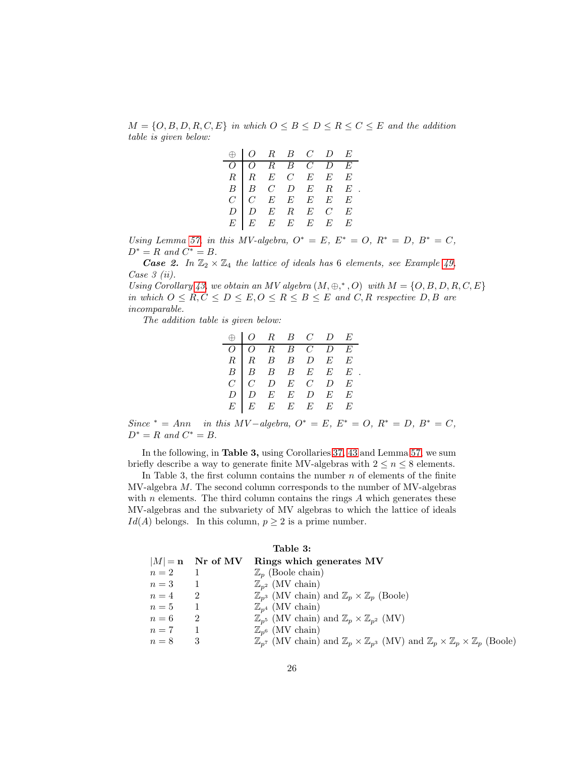$M = \{O, B, D, R, C, E\}$  in which  $O \leq B \leq D \leq R \leq C \leq E$  and the addition table is given below:

|  |  |  | $\begin{tabular}{c cccccc} $\oplus$ & $O$ & $R$ & $B$ & $C$ & $D$ & $E$ \\ \hline $O$ & $O$ & $R$ & $B$ & $C$ & $D$ & $E$ \\ $R$ & $R$ & $E$ & $C$ & $E$ & $E$ & $E$ \\ $B$ & $B$ & $C$ & $D$ & $E$ & $R$ & $E$ \\ $C$ & $C$ & $E$ & $E$ & $E$ & $E$ & $E$ \\ $D$ & $D$ & $E$ & $R$ & $E$ & $C$ & $E$ \\ $E$ & $E$ & $E$ & $E$ & $E$ & $E$ & $E$ \\ \end{tabular}$ |
|--|--|--|--------------------------------------------------------------------------------------------------------------------------------------------------------------------------------------------------------------------------------------------------------------------------------------------------------------------------------------------------------------------|
|  |  |  |                                                                                                                                                                                                                                                                                                                                                                    |
|  |  |  |                                                                                                                                                                                                                                                                                                                                                                    |
|  |  |  |                                                                                                                                                                                                                                                                                                                                                                    |
|  |  |  |                                                                                                                                                                                                                                                                                                                                                                    |
|  |  |  |                                                                                                                                                                                                                                                                                                                                                                    |
|  |  |  |                                                                                                                                                                                                                                                                                                                                                                    |

Using Lemma [57,](#page-24-0) in this MV-algebra,  $O^* = E$ ,  $E^* = O$ ,  $R^* = D$ ,  $B^* = C$ ,  $D^* = R$  and  $C^* = B$ .

*Case 2.* In  $\mathbb{Z}_2 \times \mathbb{Z}_4$  the lattice of ideals has 6 elements, see Example [49,](#page-20-0) Case  $\beta$  (ii).

Using Corollary [43,](#page-16-0) we obtain an MV algebra  $(M, \oplus, ^*, O)$  with  $M = \{O, B, D, R, C, E\}$ in which  $0 \leq R, C \leq D \leq E, 0 \leq R \leq B \leq E$  and  $C, R$  respective  $D, B$  are incomparable.

The addition table is given below:

|  | $\bigoplus \bigg \begin{array}{ccccc}O & R & B & C & D & E\end{array}$ |  |  |
|--|------------------------------------------------------------------------|--|--|
|  |                                                                        |  |  |
|  |                                                                        |  |  |
|  |                                                                        |  |  |
|  |                                                                        |  |  |
|  |                                                                        |  |  |
|  |                                                                        |  |  |

Since \* = Ann in this MV-algebra,  $O^* = E$ ,  $E^* = O$ ,  $R^* = D$ ,  $B^* = C$ ,  $D^* = R$  and  $C^* = B$ .

In the following, in Table 3, using Corollaries [37,](#page-13-0) [43](#page-16-0) and Lemma [57,](#page-24-0) we sum briefly describe a way to generate finite MV-algebras with  $2 \le n \le 8$  elements.

In Table 3, the first column contains the number  $n$  of elements of the finite MV-algebra M. The second column corresponds to the number of MV-algebras with  $n$  elements. The third column contains the rings  $A$  which generates these MV-algebras and the subvariety of MV algebras to which the lattice of ideals  $Id(A)$  belongs. In this column,  $p \geq 2$  is a prime number.

|       |                    | Table 3:                                                                                                                                         |
|-------|--------------------|--------------------------------------------------------------------------------------------------------------------------------------------------|
|       | $ M  = n$ Nr of MV | Rings which generates MV                                                                                                                         |
| $n=2$ |                    | $\mathbb{Z}_n$ (Boole chain)                                                                                                                     |
| $n=3$ |                    | $\mathbb{Z}_{n^2}$ (MV chain)                                                                                                                    |
| $n=4$ | $\overline{2}$     | $\mathbb{Z}_{p^3}$ (MV chain) and $\mathbb{Z}_p \times \mathbb{Z}_p$ (Boole)                                                                     |
| $n=5$ |                    | $\mathbb{Z}_{n^4}$ (MV chain)                                                                                                                    |
| $n=6$ | 2                  | $\mathbb{Z}_{p^5}$ (MV chain) and $\mathbb{Z}_p \times \mathbb{Z}_{p^2}$ (MV)                                                                    |
| $n=7$ |                    | $\mathbb{Z}_{n^6}$ (MV chain)                                                                                                                    |
| $n=8$ | 3                  | $\mathbb{Z}_{p^7}$ (MV chain) and $\mathbb{Z}_p \times \mathbb{Z}_{p^3}$ (MV) and $\mathbb{Z}_p \times \mathbb{Z}_p \times \mathbb{Z}_p$ (Boole) |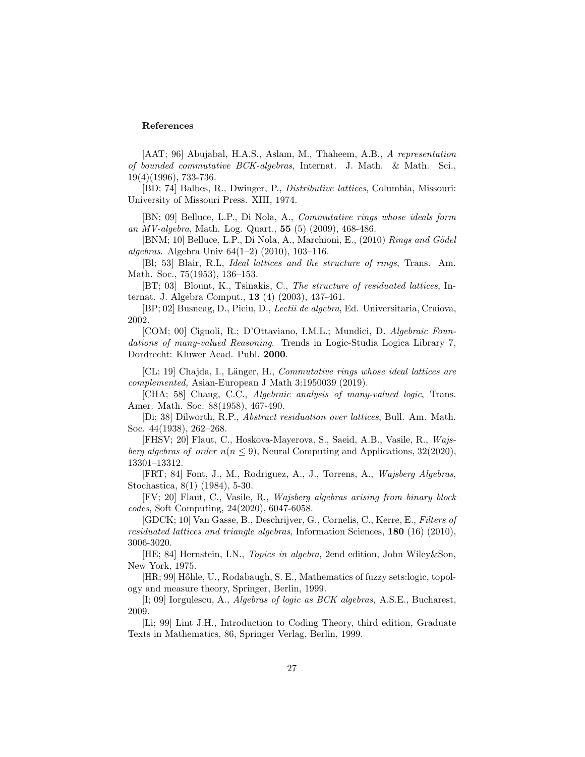### References

[AAT; 96] Abujabal, H.A.S., Aslam, M., Thaheem, A.B., A representation of bounded commutative BCK-algebras, Internat. J. Math. & Math. Sci., 19(4)(1996), 733-736.

[BD; 74] Balbes, R., Dwinger, P., Distributive lattices, Columbia, Missouri: University of Missouri Press. XIII, 1974.

[BN; 09] Belluce, L.P., Di Nola, A., Commutative rings whose ideals form an MV-algebra, Math. Log. Quart.,  $55$  (5) (2009), 468-486.

[BNM; 10] Belluce, L.P., Di Nola, A., Marchioni, E.,  $(2010)$  Rings and Gödel algebras. Algebra Univ 64(1–2) (2010), 103–116.

[Bl; 53] Blair, R.L, Ideal lattices and the structure of rings, Trans. Am. Math. Soc., 75(1953), 136–153.

[BT; 03] Blount, K., Tsinakis, C., The structure of residuated lattices, Internat. J. Algebra Comput., 13 (4) (2003), 437-461.

[BP; 02] Busneag, D., Piciu, D., Lectii de algebra, Ed. Universitaria, Craiova, 2002.

[COM; 00] Cignoli, R.; D'Ottaviano, I.M.L.; Mundici, D. Algebraic Foundations of many-valued Reasoning. Trends in Logic-Studia Logica Library 7, Dordrecht: Kluwer Acad. Publ. 2000.

[CL; 19] Chajda, I., Länger, H., Commutative rings whose ideal lattices are complemented, Asian-European J Math 3:1950039 (2019).

[CHA; 58] Chang, C.C., Algebraic analysis of many-valued logic, Trans. Amer. Math. Soc. 88(1958), 467-490.

[Di; 38] Dilworth, R.P., Abstract residuation over lattices, Bull. Am. Math. Soc. 44(1938), 262–268.

[FHSV; 20] Flaut, C., Hoskova-Mayerova, S., Saeid, A.B., Vasile, R., Wajsberg algebras of order  $n(n \leq 9)$ , Neural Computing and Applications, 32(2020), 13301–13312.

[FRT; 84] Font, J., M., Rodriguez, A., J., Torrens, A., Wajsberg Algebras, Stochastica, 8(1) (1984), 5-30.

[FV; 20] Flaut, C., Vasile, R., Wajsberg algebras arising from binary block codes, Soft Computing, 24(2020), 6047-6058.

[GDCK; 10] Van Gasse, B., Deschrijver, G., Cornelis, C., Kerre, E., Filters of residuated lattices and triangle algebras, Information Sciences,  $180$  (16) (2010), 3006-3020.

[HE; 84] Hernstein, I.N., Topics in algebra, 2end edition, John Wiley&Son, New York, 1975.

[HR; 99] Hőhle, U., Rodabaugh, S. E., Mathematics of fuzzy sets:logic, topology and measure theory, Springer, Berlin, 1999.

[I; 09] Iorgulescu, A., Algebras of logic as BCK algebras, A.S.E., Bucharest, 2009.

[Li; 99] Lint J.H., Introduction to Coding Theory, third edition, Graduate Texts in Mathematics, 86, Springer Verlag, Berlin, 1999.